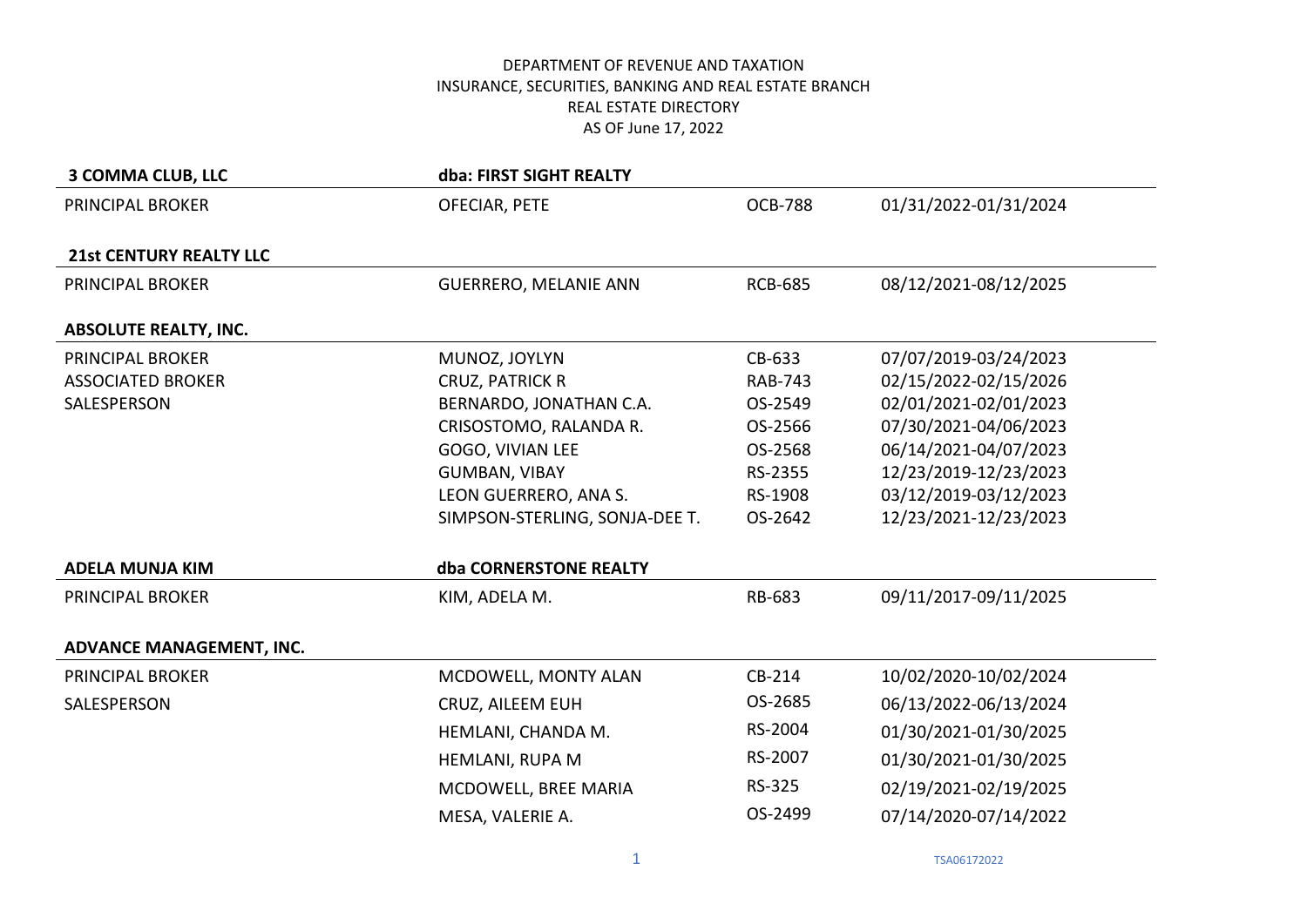| <b>3 COMMA CLUB, LLC</b>       | dba: FIRST SIGHT REALTY        |                |                       |
|--------------------------------|--------------------------------|----------------|-----------------------|
| PRINCIPAL BROKER               | OFECIAR, PETE                  | <b>OCB-788</b> | 01/31/2022-01/31/2024 |
|                                |                                |                |                       |
| <b>21st CENTURY REALTY LLC</b> |                                |                |                       |
| PRINCIPAL BROKER               | <b>GUERRERO, MELANIE ANN</b>   | <b>RCB-685</b> | 08/12/2021-08/12/2025 |
|                                |                                |                |                       |
| <b>ABSOLUTE REALTY, INC.</b>   |                                |                |                       |
| PRINCIPAL BROKER               | MUNOZ, JOYLYN                  | CB-633         | 07/07/2019-03/24/2023 |
| <b>ASSOCIATED BROKER</b>       | <b>CRUZ, PATRICK R</b>         | <b>RAB-743</b> | 02/15/2022-02/15/2026 |
| SALESPERSON                    | BERNARDO, JONATHAN C.A.        | OS-2549        | 02/01/2021-02/01/2023 |
|                                | CRISOSTOMO, RALANDA R.         | OS-2566        | 07/30/2021-04/06/2023 |
|                                | GOGO, VIVIAN LEE               | OS-2568        | 06/14/2021-04/07/2023 |
|                                | <b>GUMBAN, VIBAY</b>           | RS-2355        | 12/23/2019-12/23/2023 |
|                                | LEON GUERRERO, ANA S.          | RS-1908        | 03/12/2019-03/12/2023 |
|                                | SIMPSON-STERLING, SONJA-DEE T. | OS-2642        | 12/23/2021-12/23/2023 |
| <b>ADELA MUNJA KIM</b>         | dba CORNERSTONE REALTY         |                |                       |
| PRINCIPAL BROKER               | KIM, ADELA M.                  | RB-683         | 09/11/2017-09/11/2025 |
|                                |                                |                |                       |
| ADVANCE MANAGEMENT, INC.       |                                |                |                       |
| PRINCIPAL BROKER               | MCDOWELL, MONTY ALAN           | CB-214         | 10/02/2020-10/02/2024 |
| SALESPERSON                    | CRUZ, AILEEM EUH               | OS-2685        | 06/13/2022-06/13/2024 |
|                                | HEMLANI, CHANDA M.             | RS-2004        | 01/30/2021-01/30/2025 |
|                                | HEMLANI, RUPA M                | RS-2007        | 01/30/2021-01/30/2025 |
|                                | MCDOWELL, BREE MARIA           | RS-325         | 02/19/2021-02/19/2025 |
|                                | MESA, VALERIE A.               | OS-2499        | 07/14/2020-07/14/2022 |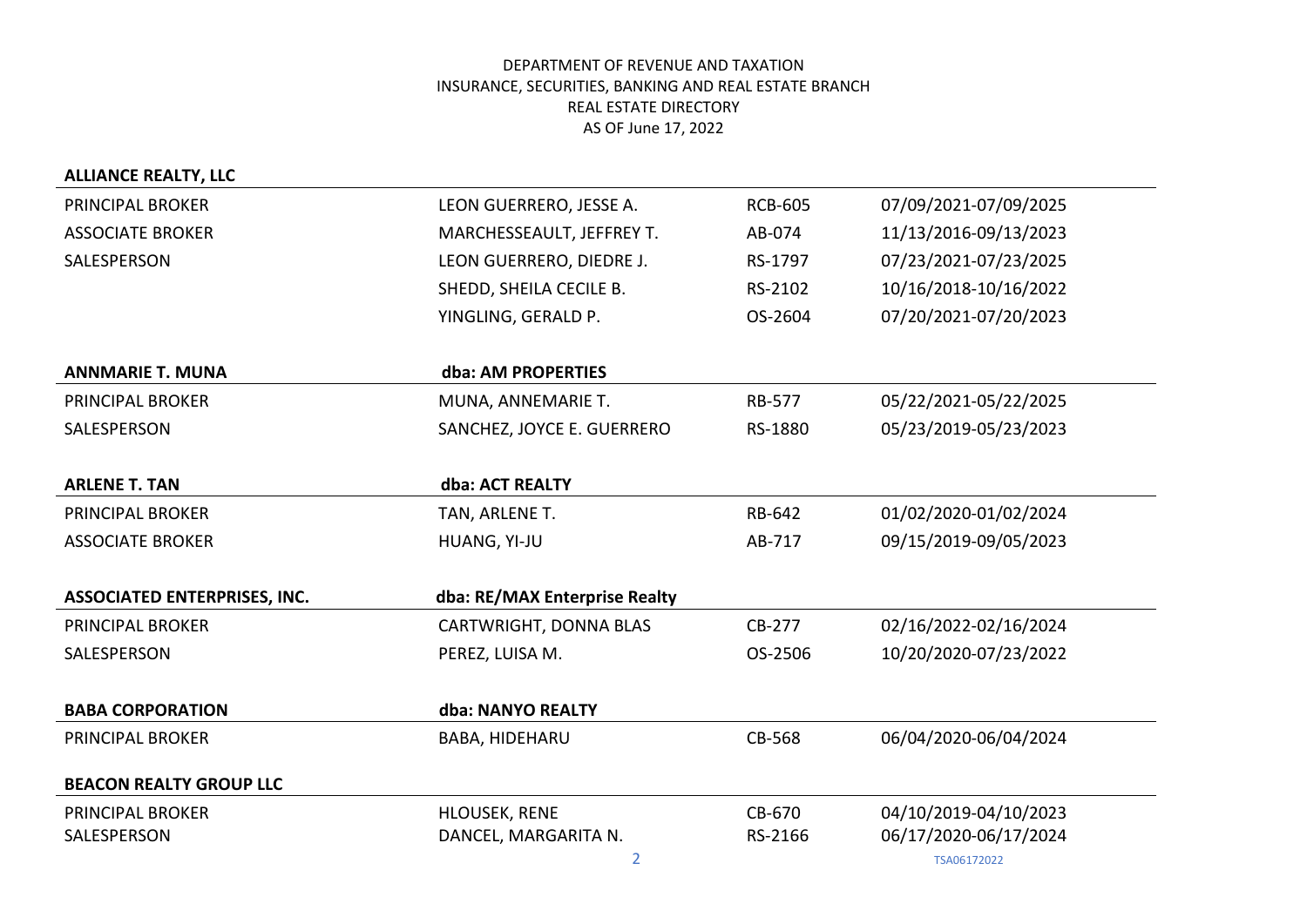| <b>ALLIANCE REALTY, LLC</b>         |                               |                |                       |
|-------------------------------------|-------------------------------|----------------|-----------------------|
| PRINCIPAL BROKER                    | LEON GUERRERO, JESSE A.       | <b>RCB-605</b> | 07/09/2021-07/09/2025 |
| <b>ASSOCIATE BROKER</b>             | MARCHESSEAULT, JEFFREY T.     | AB-074         | 11/13/2016-09/13/2023 |
| SALESPERSON                         | LEON GUERRERO, DIEDRE J.      | RS-1797        | 07/23/2021-07/23/2025 |
|                                     | SHEDD, SHEILA CECILE B.       | RS-2102        | 10/16/2018-10/16/2022 |
|                                     | YINGLING, GERALD P.           | OS-2604        | 07/20/2021-07/20/2023 |
| <b>ANNMARIE T. MUNA</b>             | dba: AM PROPERTIES            |                |                       |
| <b>PRINCIPAL BROKER</b>             | MUNA, ANNEMARIE T.            | RB-577         | 05/22/2021-05/22/2025 |
| SALESPERSON                         | SANCHEZ, JOYCE E. GUERRERO    | RS-1880        | 05/23/2019-05/23/2023 |
| <b>ARLENE T. TAN</b>                | dba: ACT REALTY               |                |                       |
| PRINCIPAL BROKER                    | TAN, ARLENE T.                | RB-642         | 01/02/2020-01/02/2024 |
| <b>ASSOCIATE BROKER</b>             | HUANG, YI-JU                  | AB-717         | 09/15/2019-09/05/2023 |
| <b>ASSOCIATED ENTERPRISES, INC.</b> | dba: RE/MAX Enterprise Realty |                |                       |
| <b>PRINCIPAL BROKER</b>             | CARTWRIGHT, DONNA BLAS        | CB-277         | 02/16/2022-02/16/2024 |
| SALESPERSON                         | PEREZ, LUISA M.               | OS-2506        | 10/20/2020-07/23/2022 |
| <b>BABA CORPORATION</b>             | dba: NANYO REALTY             |                |                       |
| <b>PRINCIPAL BROKER</b>             | <b>BABA, HIDEHARU</b>         | CB-568         | 06/04/2020-06/04/2024 |
| <b>BEACON REALTY GROUP LLC</b>      |                               |                |                       |
| PRINCIPAL BROKER                    | HLOUSEK, RENE                 | CB-670         | 04/10/2019-04/10/2023 |
| SALESPERSON                         | DANCEL, MARGARITA N.          | RS-2166        | 06/17/2020-06/17/2024 |
|                                     | $\overline{2}$                |                | TSA06172022           |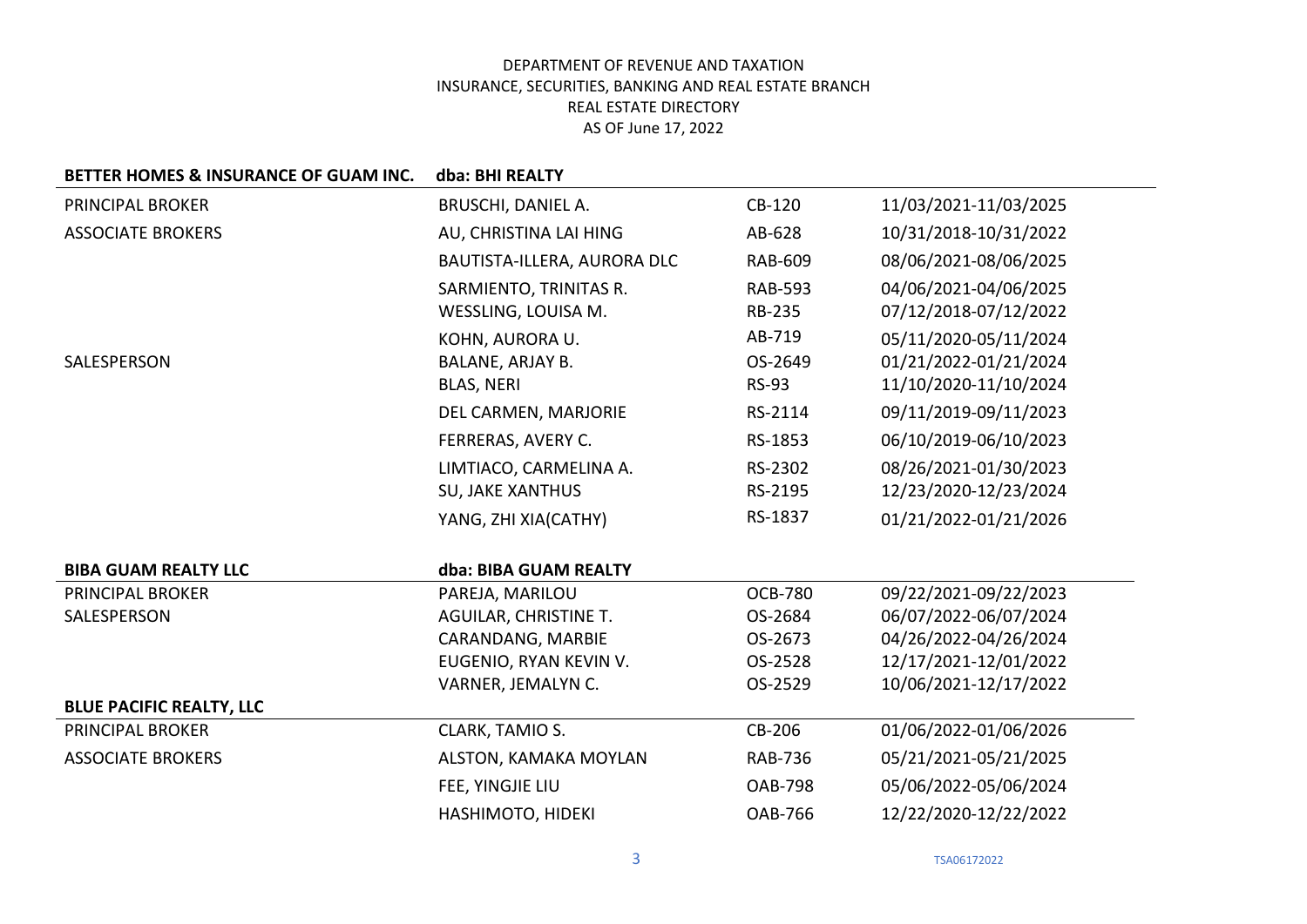| BETTER HOMES & INSURANCE OF GUAM INC. | dba: BHI REALTY              |                |                       |
|---------------------------------------|------------------------------|----------------|-----------------------|
| <b>PRINCIPAL BROKER</b>               | BRUSCHI, DANIEL A.           | CB-120         | 11/03/2021-11/03/2025 |
| <b>ASSOCIATE BROKERS</b>              | AU, CHRISTINA LAI HING       | AB-628         | 10/31/2018-10/31/2022 |
|                                       | BAUTISTA-ILLERA, AURORA DLC  | <b>RAB-609</b> | 08/06/2021-08/06/2025 |
|                                       | SARMIENTO, TRINITAS R.       | <b>RAB-593</b> | 04/06/2021-04/06/2025 |
|                                       | WESSLING, LOUISA M.          | <b>RB-235</b>  | 07/12/2018-07/12/2022 |
|                                       | KOHN, AURORA U.              | AB-719         | 05/11/2020-05/11/2024 |
| SALESPERSON                           | BALANE, ARJAY B.             | OS-2649        | 01/21/2022-01/21/2024 |
|                                       | <b>BLAS, NERI</b>            | <b>RS-93</b>   | 11/10/2020-11/10/2024 |
|                                       | DEL CARMEN, MARJORIE         | RS-2114        | 09/11/2019-09/11/2023 |
|                                       | FERRERAS, AVERY C.           | RS-1853        | 06/10/2019-06/10/2023 |
|                                       | LIMTIACO, CARMELINA A.       | RS-2302        | 08/26/2021-01/30/2023 |
|                                       | <b>SU, JAKE XANTHUS</b>      | RS-2195        | 12/23/2020-12/23/2024 |
|                                       | YANG, ZHI XIA(CATHY)         | RS-1837        | 01/21/2022-01/21/2026 |
| <b>BIBA GUAM REALTY LLC</b>           | dba: BIBA GUAM REALTY        |                |                       |
| <b>PRINCIPAL BROKER</b>               | PAREJA, MARILOU              | <b>OCB-780</b> | 09/22/2021-09/22/2023 |
| SALESPERSON                           | <b>AGUILAR, CHRISTINE T.</b> | OS-2684        | 06/07/2022-06/07/2024 |
|                                       | CARANDANG, MARBIE            | OS-2673        | 04/26/2022-04/26/2024 |
|                                       | EUGENIO, RYAN KEVIN V.       | OS-2528        | 12/17/2021-12/01/2022 |
|                                       | VARNER, JEMALYN C.           | OS-2529        | 10/06/2021-12/17/2022 |
| <b>BLUE PACIFIC REALTY, LLC</b>       |                              |                |                       |
| PRINCIPAL BROKER                      | CLARK, TAMIO S.              | CB-206         | 01/06/2022-01/06/2026 |
| <b>ASSOCIATE BROKERS</b>              | ALSTON, KAMAKA MOYLAN        | <b>RAB-736</b> | 05/21/2021-05/21/2025 |
|                                       | FEE, YINGJIE LIU             | <b>OAB-798</b> | 05/06/2022-05/06/2024 |
|                                       | HASHIMOTO, HIDEKI            | <b>OAB-766</b> | 12/22/2020-12/22/2022 |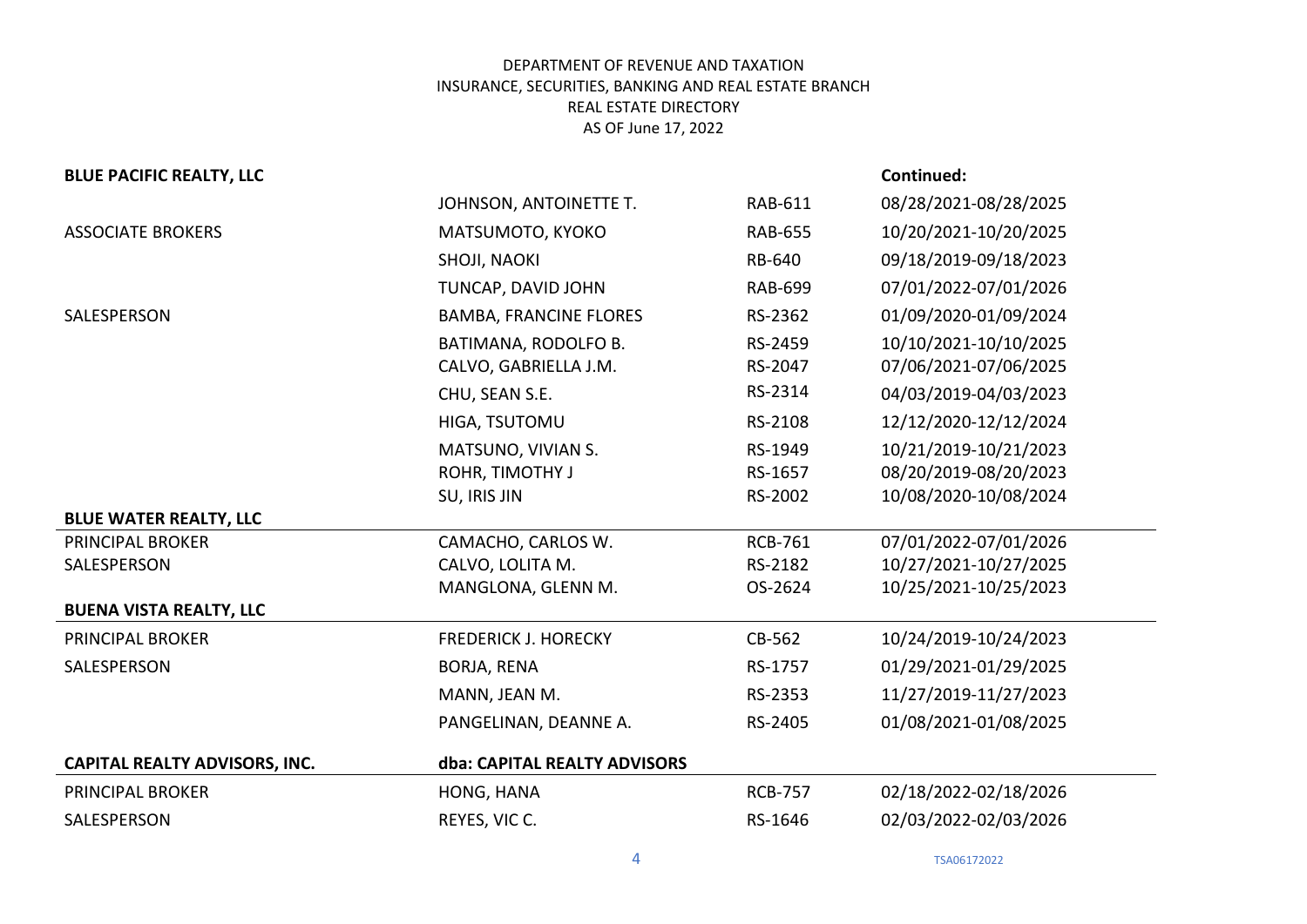| <b>BLUE PACIFIC REALTY, LLC</b>      |                               |                | Continued:            |
|--------------------------------------|-------------------------------|----------------|-----------------------|
|                                      | JOHNSON, ANTOINETTE T.        | RAB-611        | 08/28/2021-08/28/2025 |
| <b>ASSOCIATE BROKERS</b>             | MATSUMOTO, KYOKO              | <b>RAB-655</b> | 10/20/2021-10/20/2025 |
|                                      | SHOJI, NAOKI                  | RB-640         | 09/18/2019-09/18/2023 |
|                                      | TUNCAP, DAVID JOHN            | <b>RAB-699</b> | 07/01/2022-07/01/2026 |
| SALESPERSON                          | <b>BAMBA, FRANCINE FLORES</b> | RS-2362        | 01/09/2020-01/09/2024 |
|                                      | BATIMANA, RODOLFO B.          | RS-2459        | 10/10/2021-10/10/2025 |
|                                      | CALVO, GABRIELLA J.M.         | RS-2047        | 07/06/2021-07/06/2025 |
|                                      | CHU, SEAN S.E.                | RS-2314        | 04/03/2019-04/03/2023 |
|                                      | HIGA, TSUTOMU                 | RS-2108        | 12/12/2020-12/12/2024 |
|                                      | MATSUNO, VIVIAN S.            | RS-1949        | 10/21/2019-10/21/2023 |
|                                      | ROHR, TIMOTHY J               | RS-1657        | 08/20/2019-08/20/2023 |
|                                      | SU, IRIS JIN                  | RS-2002        | 10/08/2020-10/08/2024 |
| <b>BLUE WATER REALTY, LLC</b>        |                               |                |                       |
| <b>PRINCIPAL BROKER</b>              | CAMACHO, CARLOS W.            | <b>RCB-761</b> | 07/01/2022-07/01/2026 |
| SALESPERSON                          | CALVO, LOLITA M.              | RS-2182        | 10/27/2021-10/27/2025 |
|                                      | MANGLONA, GLENN M.            | OS-2624        | 10/25/2021-10/25/2023 |
| <b>BUENA VISTA REALTY, LLC</b>       |                               |                |                       |
| <b>PRINCIPAL BROKER</b>              | <b>FREDERICK J. HORECKY</b>   | CB-562         | 10/24/2019-10/24/2023 |
| SALESPERSON                          | <b>BORJA, RENA</b>            | RS-1757        | 01/29/2021-01/29/2025 |
|                                      | MANN, JEAN M.                 | RS-2353        | 11/27/2019-11/27/2023 |
|                                      | PANGELINAN, DEANNE A.         | RS-2405        | 01/08/2021-01/08/2025 |
| <b>CAPITAL REALTY ADVISORS, INC.</b> | dba: CAPITAL REALTY ADVISORS  |                |                       |
| PRINCIPAL BROKER                     | HONG, HANA                    | <b>RCB-757</b> | 02/18/2022-02/18/2026 |
| SALESPERSON                          | REYES, VIC C.                 | RS-1646        | 02/03/2022-02/03/2026 |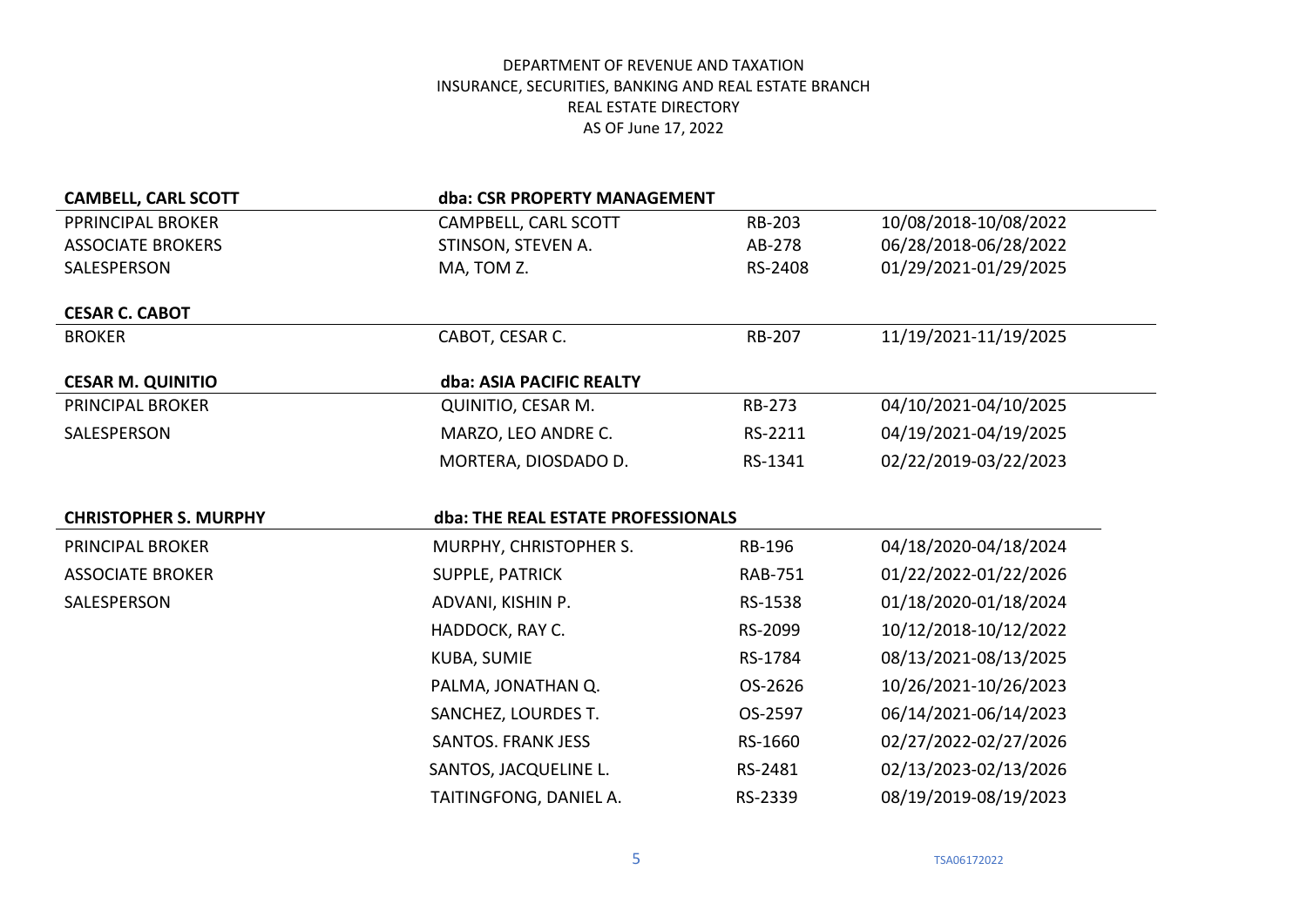| <b>CAMBELL, CARL SCOTT</b>   | dba: CSR PROPERTY MANAGEMENT       |                |                       |
|------------------------------|------------------------------------|----------------|-----------------------|
| PPRINCIPAL BROKER            | CAMPBELL, CARL SCOTT               | <b>RB-203</b>  | 10/08/2018-10/08/2022 |
| <b>ASSOCIATE BROKERS</b>     | STINSON, STEVEN A.                 | AB-278         | 06/28/2018-06/28/2022 |
| SALESPERSON                  | MA, TOM Z.                         | RS-2408        | 01/29/2021-01/29/2025 |
| <b>CESAR C. CABOT</b>        |                                    |                |                       |
| <b>BROKER</b>                | CABOT, CESAR C.                    | <b>RB-207</b>  | 11/19/2021-11/19/2025 |
| <b>CESAR M. QUINITIO</b>     | dba: ASIA PACIFIC REALTY           |                |                       |
| <b>PRINCIPAL BROKER</b>      | QUINITIO, CESAR M.                 | RB-273         | 04/10/2021-04/10/2025 |
| SALESPERSON                  | MARZO, LEO ANDRE C.                | RS-2211        | 04/19/2021-04/19/2025 |
|                              | MORTERA, DIOSDADO D.               | RS-1341        | 02/22/2019-03/22/2023 |
|                              |                                    |                |                       |
|                              |                                    |                |                       |
| <b>CHRISTOPHER S. MURPHY</b> | dba: THE REAL ESTATE PROFESSIONALS |                |                       |
| PRINCIPAL BROKER             | MURPHY, CHRISTOPHER S.             | <b>RB-196</b>  | 04/18/2020-04/18/2024 |
| <b>ASSOCIATE BROKER</b>      | SUPPLE, PATRICK                    | <b>RAB-751</b> | 01/22/2022-01/22/2026 |
| SALESPERSON                  | ADVANI, KISHIN P.                  | RS-1538        | 01/18/2020-01/18/2024 |
|                              | HADDOCK, RAY C.                    | RS-2099        | 10/12/2018-10/12/2022 |
|                              | <b>KUBA, SUMIE</b>                 | RS-1784        | 08/13/2021-08/13/2025 |
|                              | PALMA, JONATHAN Q.                 | OS-2626        | 10/26/2021-10/26/2023 |
|                              | SANCHEZ, LOURDES T.                | OS-2597        | 06/14/2021-06/14/2023 |
|                              | <b>SANTOS. FRANK JESS</b>          | RS-1660        | 02/27/2022-02/27/2026 |
|                              | SANTOS, JACQUELINE L.              | RS-2481        | 02/13/2023-02/13/2026 |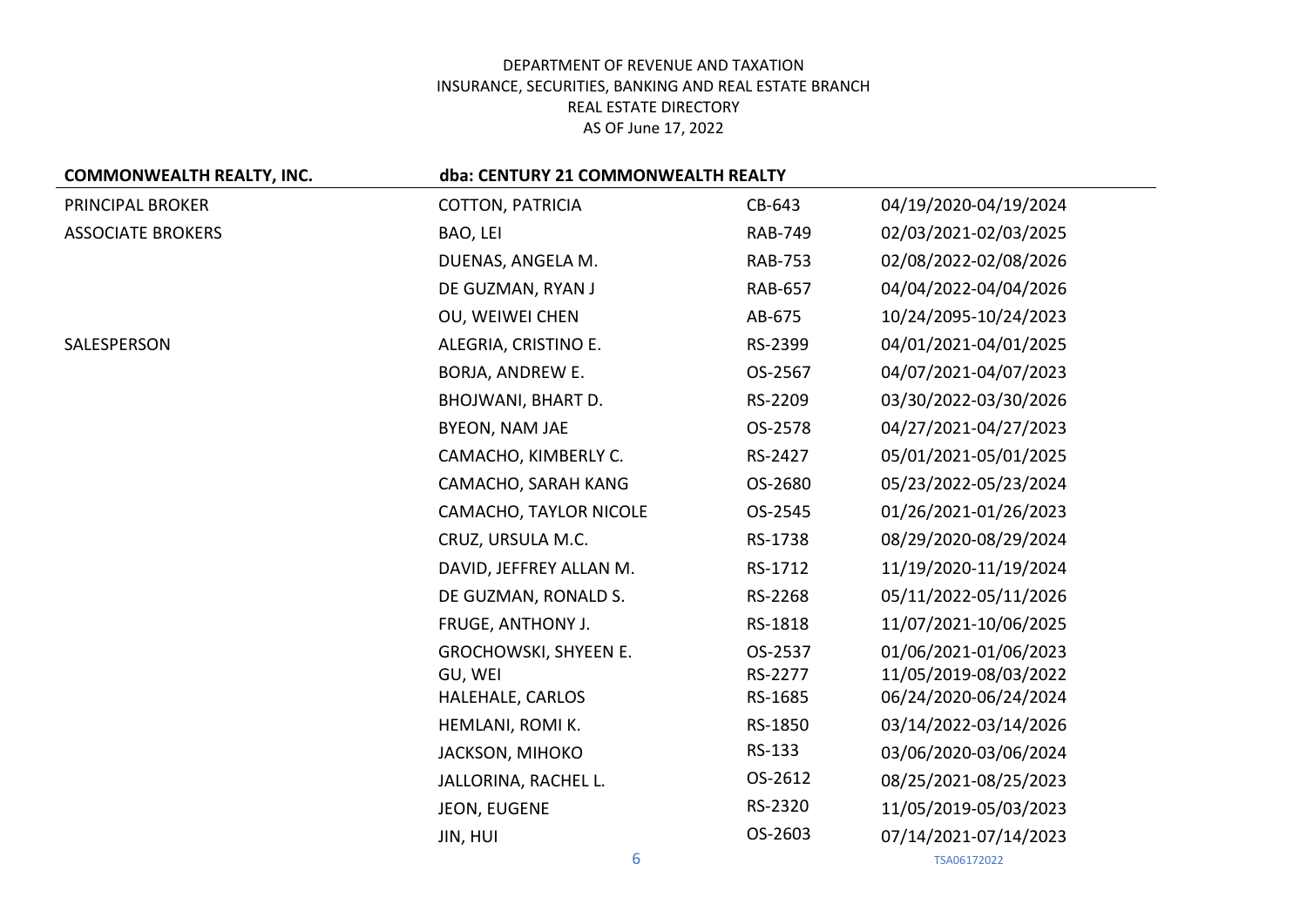| <b>COMMONWEALTH REALTY, INC.</b> | dba: CENTURY 21 COMMONWEALTH REALTY |                |                       |  |
|----------------------------------|-------------------------------------|----------------|-----------------------|--|
| PRINCIPAL BROKER                 | <b>COTTON, PATRICIA</b>             | CB-643         | 04/19/2020-04/19/2024 |  |
| <b>ASSOCIATE BROKERS</b>         | BAO, LEI                            | <b>RAB-749</b> | 02/03/2021-02/03/2025 |  |
|                                  | DUENAS, ANGELA M.                   | <b>RAB-753</b> | 02/08/2022-02/08/2026 |  |
|                                  | DE GUZMAN, RYAN J                   | <b>RAB-657</b> | 04/04/2022-04/04/2026 |  |
|                                  | OU, WEIWEI CHEN                     | AB-675         | 10/24/2095-10/24/2023 |  |
| SALESPERSON                      | ALEGRIA, CRISTINO E.                | RS-2399        | 04/01/2021-04/01/2025 |  |
|                                  | BORJA, ANDREW E.                    | OS-2567        | 04/07/2021-04/07/2023 |  |
|                                  | <b>BHOJWANI, BHART D.</b>           | RS-2209        | 03/30/2022-03/30/2026 |  |
|                                  | BYEON, NAM JAE                      | OS-2578        | 04/27/2021-04/27/2023 |  |
|                                  | CAMACHO, KIMBERLY C.                | RS-2427        | 05/01/2021-05/01/2025 |  |
|                                  | CAMACHO, SARAH KANG                 | OS-2680        | 05/23/2022-05/23/2024 |  |
|                                  | CAMACHO, TAYLOR NICOLE              | OS-2545        | 01/26/2021-01/26/2023 |  |
|                                  | CRUZ, URSULA M.C.                   | RS-1738        | 08/29/2020-08/29/2024 |  |
|                                  | DAVID, JEFFREY ALLAN M.             | RS-1712        | 11/19/2020-11/19/2024 |  |
|                                  | DE GUZMAN, RONALD S.                | RS-2268        | 05/11/2022-05/11/2026 |  |
|                                  | FRUGE, ANTHONY J.                   | RS-1818        | 11/07/2021-10/06/2025 |  |
|                                  | GROCHOWSKI, SHYEEN E.               | OS-2537        | 01/06/2021-01/06/2023 |  |
|                                  | GU, WEI                             | RS-2277        | 11/05/2019-08/03/2022 |  |
|                                  | HALEHALE, CARLOS                    | RS-1685        | 06/24/2020-06/24/2024 |  |
|                                  | HEMLANI, ROMI K.                    | RS-1850        | 03/14/2022-03/14/2026 |  |
|                                  | JACKSON, MIHOKO                     | RS-133         | 03/06/2020-03/06/2024 |  |
|                                  | JALLORINA, RACHEL L.                | OS-2612        | 08/25/2021-08/25/2023 |  |
|                                  | JEON, EUGENE                        | RS-2320        | 11/05/2019-05/03/2023 |  |
|                                  | JIN, HUI                            | OS-2603        | 07/14/2021-07/14/2023 |  |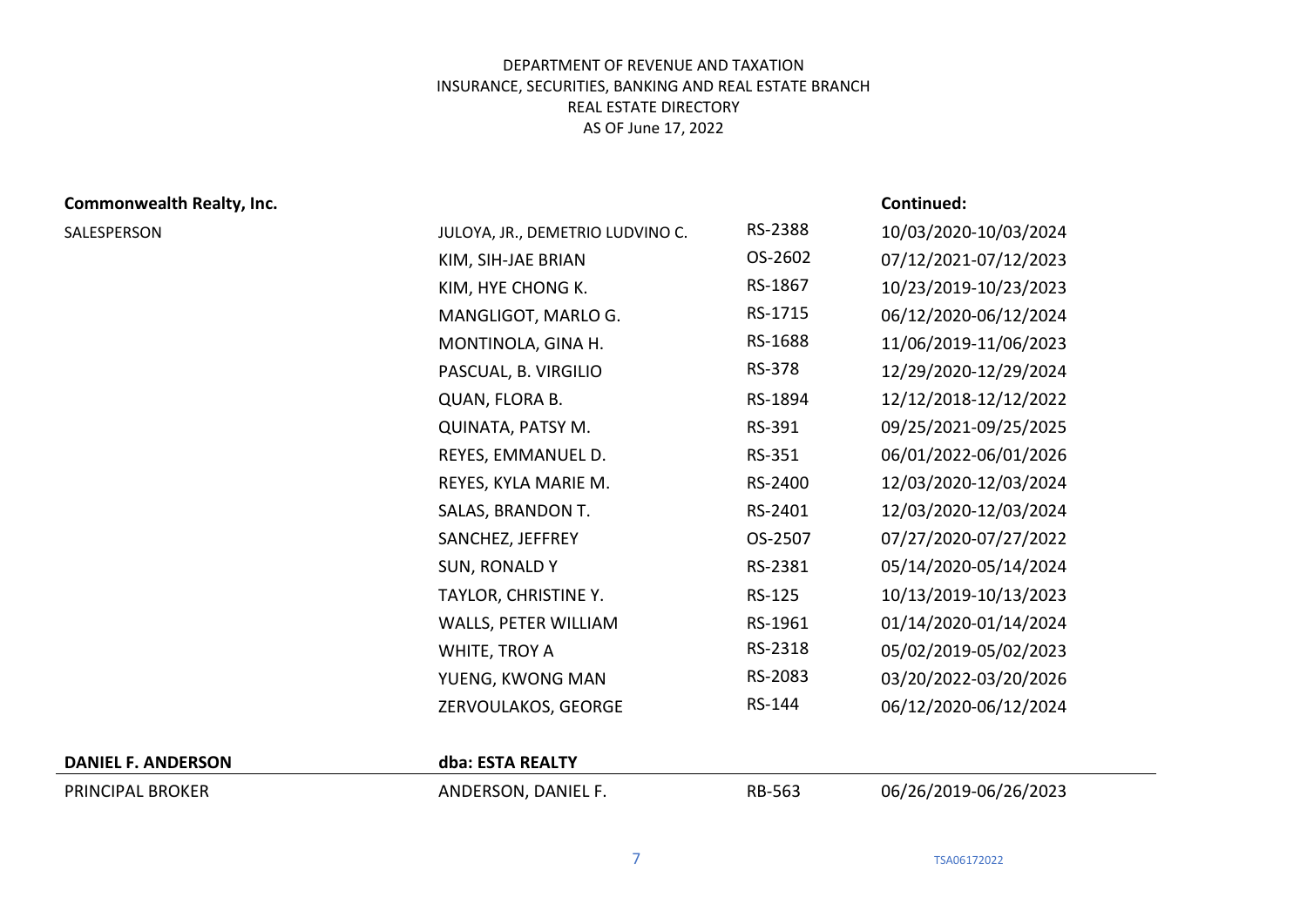# **Commonwealth Realty, Inc. Continued:**

| SALESPERSON | JULOYA, JR., DEMETRIO LUDVINO C. | RS-2388 | 10/03/2020-10/03/2024 |
|-------------|----------------------------------|---------|-----------------------|
|             | KIM, SIH-JAE BRIAN               | OS-2602 | 07/12/2021-07/12/2023 |
|             | KIM, HYE CHONG K.                | RS-1867 | 10/23/2019-10/23/2023 |
|             | MANGLIGOT, MARLO G.              | RS-1715 | 06/12/2020-06/12/2024 |
|             | MONTINOLA, GINA H.               | RS-1688 | 11/06/2019-11/06/2023 |
|             | PASCUAL, B. VIRGILIO             | RS-378  | 12/29/2020-12/29/2024 |
|             | QUAN, FLORA B.                   | RS-1894 | 12/12/2018-12/12/2022 |
|             | QUINATA, PATSY M.                | RS-391  | 09/25/2021-09/25/2025 |
|             | REYES, EMMANUEL D.               | RS-351  | 06/01/2022-06/01/2026 |
|             | REYES, KYLA MARIE M.             | RS-2400 | 12/03/2020-12/03/2024 |
|             | SALAS, BRANDON T.                | RS-2401 | 12/03/2020-12/03/2024 |
|             | SANCHEZ, JEFFREY                 | OS-2507 | 07/27/2020-07/27/2022 |
|             | <b>SUN, RONALDY</b>              | RS-2381 | 05/14/2020-05/14/2024 |
|             | TAYLOR, CHRISTINE Y.             | RS-125  | 10/13/2019-10/13/2023 |
|             | WALLS, PETER WILLIAM             | RS-1961 | 01/14/2020-01/14/2024 |
|             | WHITE, TROY A                    | RS-2318 | 05/02/2019-05/02/2023 |
|             | YUENG, KWONG MAN                 | RS-2083 | 03/20/2022-03/20/2026 |
|             | ZERVOULAKOS, GEORGE              | RS-144  | 06/12/2020-06/12/2024 |
|             |                                  |         |                       |

### **DANIEL F. ANDERSON dba: ESTA REALTY**

PRINCIPAL BROKER ANDERSON, DANIEL F. RB-563 06/26/2019-06/26/2023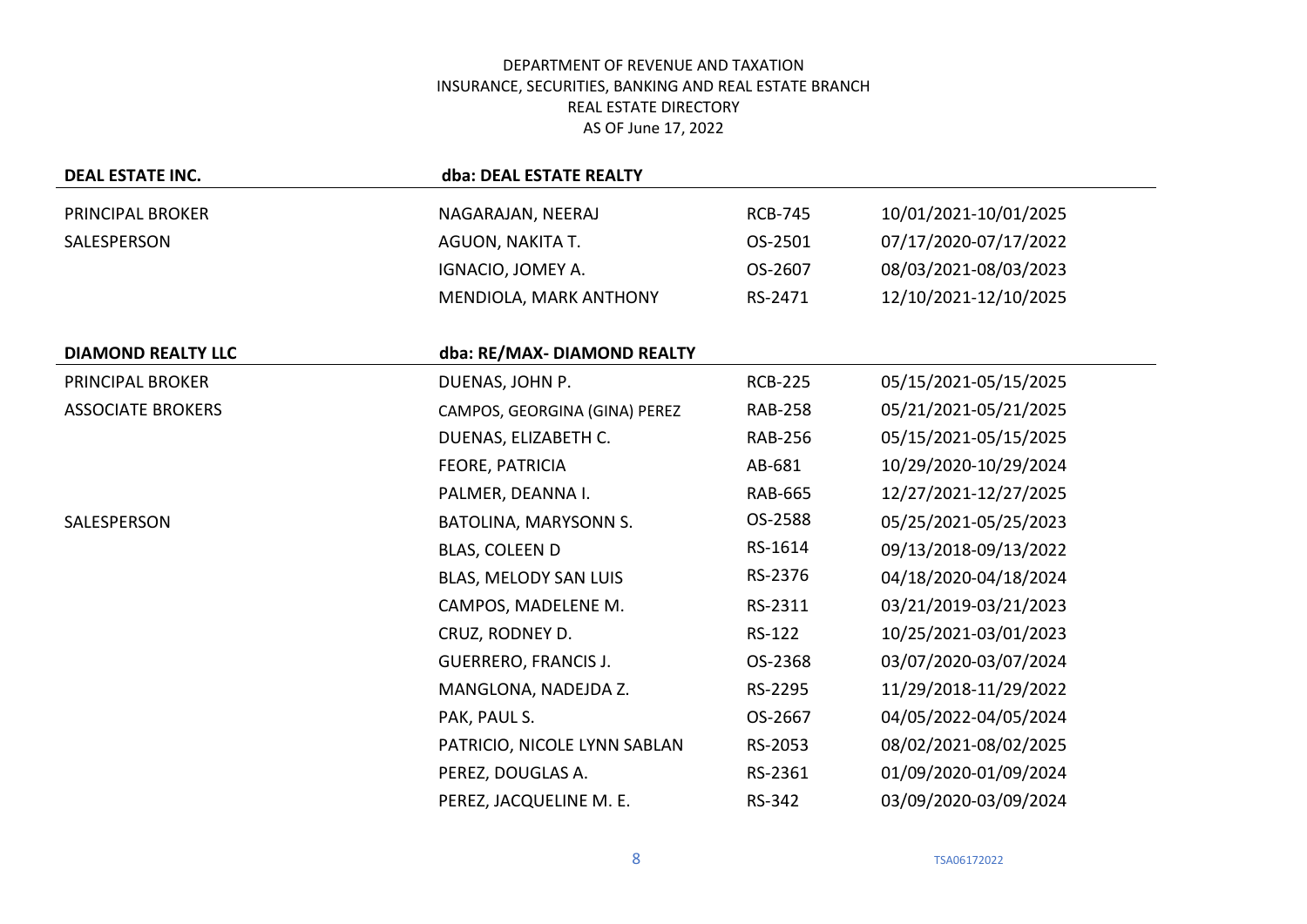| <b>DEAL ESTATE INC.</b>   | dba: DEAL ESTATE REALTY       |                |                       |
|---------------------------|-------------------------------|----------------|-----------------------|
| PRINCIPAL BROKER          | NAGARAJAN, NEERAJ             | <b>RCB-745</b> | 10/01/2021-10/01/2025 |
| SALESPERSON               | AGUON, NAKITA T.              | OS-2501        | 07/17/2020-07/17/2022 |
|                           | IGNACIO, JOMEY A.             | OS-2607        | 08/03/2021-08/03/2023 |
|                           | MENDIOLA, MARK ANTHONY        | RS-2471        | 12/10/2021-12/10/2025 |
|                           |                               |                |                       |
| <b>DIAMOND REALTY LLC</b> | dba: RE/MAX- DIAMOND REALTY   |                |                       |
| PRINCIPAL BROKER          | DUENAS, JOHN P.               | <b>RCB-225</b> | 05/15/2021-05/15/2025 |
| <b>ASSOCIATE BROKERS</b>  | CAMPOS, GEORGINA (GINA) PEREZ | <b>RAB-258</b> | 05/21/2021-05/21/2025 |
|                           | DUENAS, ELIZABETH C.          | <b>RAB-256</b> | 05/15/2021-05/15/2025 |
|                           | FEORE, PATRICIA               | AB-681         | 10/29/2020-10/29/2024 |
|                           | PALMER, DEANNA I.             | <b>RAB-665</b> | 12/27/2021-12/27/2025 |
| SALESPERSON               | BATOLINA, MARYSONN S.         | OS-2588        | 05/25/2021-05/25/2023 |
|                           | BLAS, COLEEN D                | RS-1614        | 09/13/2018-09/13/2022 |
|                           | BLAS, MELODY SAN LUIS         | RS-2376        | 04/18/2020-04/18/2024 |
|                           | CAMPOS, MADELENE M.           | RS-2311        | 03/21/2019-03/21/2023 |
|                           | CRUZ, RODNEY D.               | RS-122         | 10/25/2021-03/01/2023 |
|                           | <b>GUERRERO, FRANCIS J.</b>   | OS-2368        | 03/07/2020-03/07/2024 |
|                           | MANGLONA, NADEJDA Z.          | RS-2295        | 11/29/2018-11/29/2022 |
|                           | PAK, PAUL S.                  | OS-2667        | 04/05/2022-04/05/2024 |
|                           | PATRICIO, NICOLE LYNN SABLAN  | RS-2053        | 08/02/2021-08/02/2025 |
|                           | PEREZ, DOUGLAS A.             | RS-2361        | 01/09/2020-01/09/2024 |
|                           | PEREZ, JACQUELINE M. E.       | RS-342         | 03/09/2020-03/09/2024 |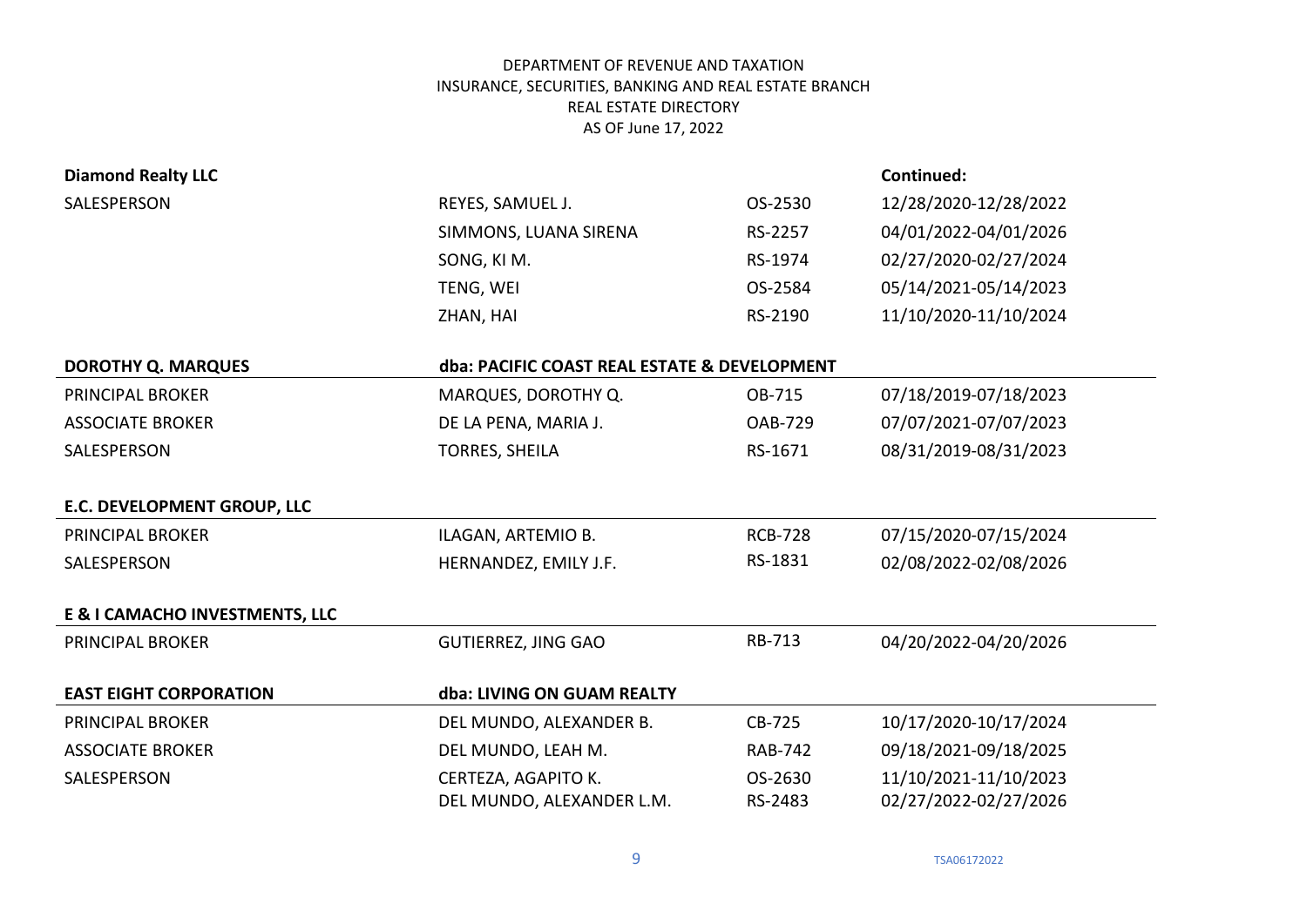| <b>Diamond Realty LLC</b>      |                                              |                | Continued:            |
|--------------------------------|----------------------------------------------|----------------|-----------------------|
| SALESPERSON                    | REYES, SAMUEL J.                             | OS-2530        | 12/28/2020-12/28/2022 |
|                                | SIMMONS, LUANA SIRENA                        | RS-2257        | 04/01/2022-04/01/2026 |
|                                | SONG, KI M.                                  | RS-1974        | 02/27/2020-02/27/2024 |
|                                | TENG, WEI                                    | OS-2584        | 05/14/2021-05/14/2023 |
|                                | ZHAN, HAI                                    | RS-2190        | 11/10/2020-11/10/2024 |
| <b>DOROTHY Q. MARQUES</b>      | dba: PACIFIC COAST REAL ESTATE & DEVELOPMENT |                |                       |
| <b>PRINCIPAL BROKER</b>        | MARQUES, DOROTHY Q.                          | OB-715         | 07/18/2019-07/18/2023 |
| <b>ASSOCIATE BROKER</b>        | DE LA PENA, MARIA J.                         | <b>OAB-729</b> | 07/07/2021-07/07/2023 |
| SALESPERSON                    | <b>TORRES, SHEILA</b>                        | RS-1671        | 08/31/2019-08/31/2023 |
|                                |                                              |                |                       |
| E.C. DEVELOPMENT GROUP, LLC    |                                              |                |                       |
| PRINCIPAL BROKER               | ILAGAN, ARTEMIO B.                           | <b>RCB-728</b> | 07/15/2020-07/15/2024 |
| SALESPERSON                    | HERNANDEZ, EMILY J.F.                        | RS-1831        | 02/08/2022-02/08/2026 |
| E & I CAMACHO INVESTMENTS, LLC |                                              |                |                       |
| <b>PRINCIPAL BROKER</b>        | <b>GUTIERREZ, JING GAO</b>                   | RB-713         | 04/20/2022-04/20/2026 |
| <b>EAST EIGHT CORPORATION</b>  | dba: LIVING ON GUAM REALTY                   |                |                       |
| PRINCIPAL BROKER               | DEL MUNDO, ALEXANDER B.                      | CB-725         | 10/17/2020-10/17/2024 |
| <b>ASSOCIATE BROKER</b>        | DEL MUNDO, LEAH M.                           | <b>RAB-742</b> | 09/18/2021-09/18/2025 |
| SALESPERSON                    | CERTEZA, AGAPITO K.                          | OS-2630        | 11/10/2021-11/10/2023 |
|                                | DEL MUNDO, ALEXANDER L.M.                    | RS-2483        | 02/27/2022-02/27/2026 |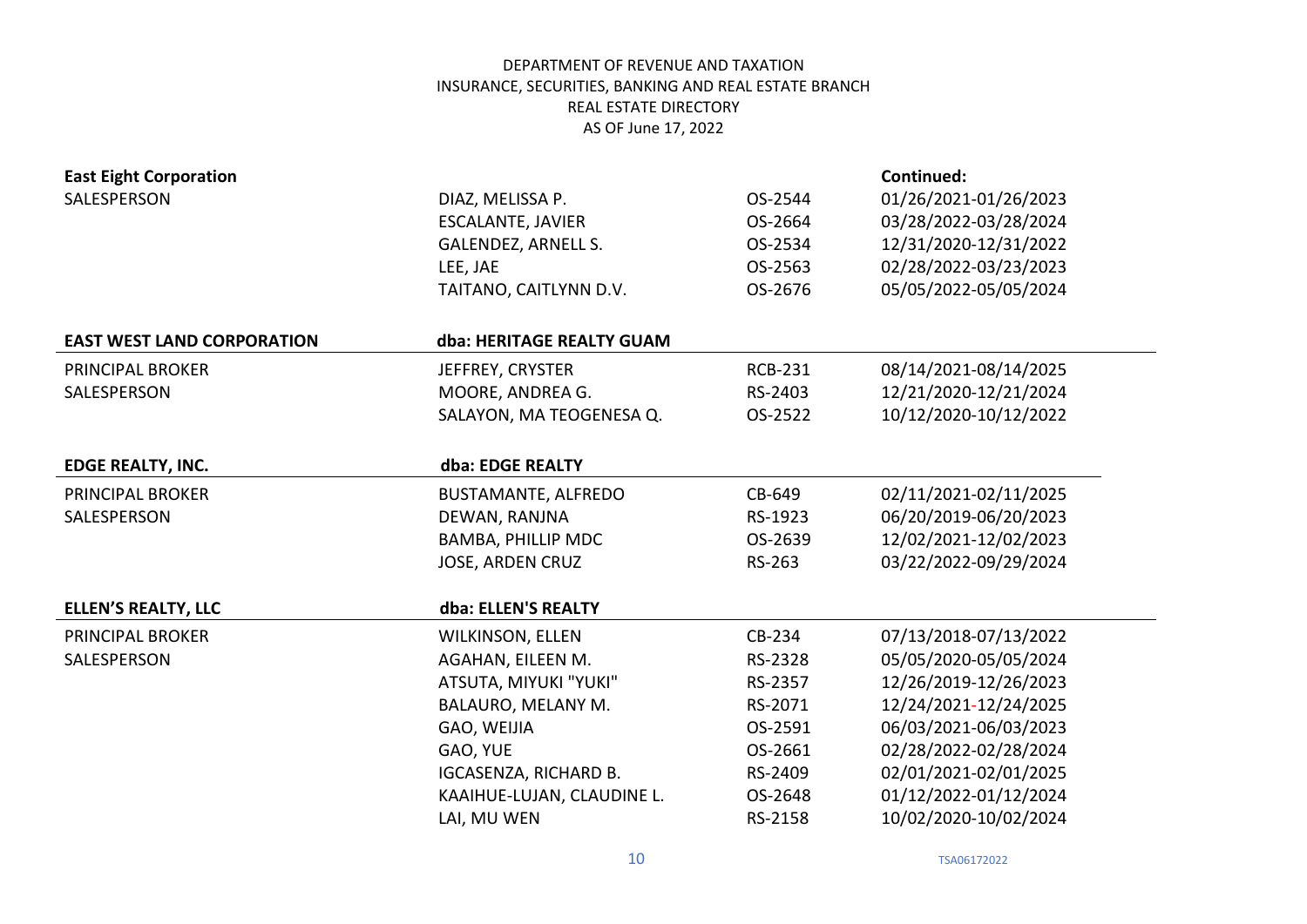| <b>East Eight Corporation</b>     |                            |                | <b>Continued:</b>     |
|-----------------------------------|----------------------------|----------------|-----------------------|
| SALESPERSON                       | DIAZ, MELISSA P.           | OS-2544        | 01/26/2021-01/26/2023 |
|                                   | <b>ESCALANTE, JAVIER</b>   | OS-2664        | 03/28/2022-03/28/2024 |
|                                   | <b>GALENDEZ, ARNELL S.</b> | OS-2534        | 12/31/2020-12/31/2022 |
|                                   | LEE, JAE                   | OS-2563        | 02/28/2022-03/23/2023 |
|                                   | TAITANO, CAITLYNN D.V.     | OS-2676        | 05/05/2022-05/05/2024 |
|                                   |                            |                |                       |
| <b>EAST WEST LAND CORPORATION</b> | dba: HERITAGE REALTY GUAM  |                |                       |
| <b>PRINCIPAL BROKER</b>           | JEFFREY, CRYSTER           | <b>RCB-231</b> | 08/14/2021-08/14/2025 |
| SALESPERSON                       | MOORE, ANDREA G.           | RS-2403        | 12/21/2020-12/21/2024 |
|                                   | SALAYON, MA TEOGENESA Q.   | OS-2522        | 10/12/2020-10/12/2022 |
|                                   |                            |                |                       |
| <b>EDGE REALTY, INC.</b>          | dba: EDGE REALTY           |                |                       |
| <b>PRINCIPAL BROKER</b>           | <b>BUSTAMANTE, ALFREDO</b> | CB-649         | 02/11/2021-02/11/2025 |
| SALESPERSON                       | DEWAN, RANJNA              | RS-1923        | 06/20/2019-06/20/2023 |
|                                   | <b>BAMBA, PHILLIP MDC</b>  | OS-2639        | 12/02/2021-12/02/2023 |
|                                   | JOSE, ARDEN CRUZ           | RS-263         | 03/22/2022-09/29/2024 |
|                                   |                            |                |                       |
| <b>ELLEN'S REALTY, LLC</b>        | dba: ELLEN'S REALTY        |                |                       |
| <b>PRINCIPAL BROKER</b>           | <b>WILKINSON, ELLEN</b>    | CB-234         | 07/13/2018-07/13/2022 |
| SALESPERSON                       | AGAHAN, EILEEN M.          | RS-2328        | 05/05/2020-05/05/2024 |
|                                   | ATSUTA, MIYUKI "YUKI"      | RS-2357        | 12/26/2019-12/26/2023 |
|                                   | BALAURO, MELANY M.         | RS-2071        | 12/24/2021-12/24/2025 |
|                                   | GAO, WEIJIA                | OS-2591        | 06/03/2021-06/03/2023 |
|                                   | GAO, YUE                   | OS-2661        | 02/28/2022-02/28/2024 |
|                                   | IGCASENZA, RICHARD B.      | RS-2409        | 02/01/2021-02/01/2025 |
|                                   | KAAIHUE-LUJAN, CLAUDINE L. | OS-2648        | 01/12/2022-01/12/2024 |
|                                   | LAI, MU WEN                | RS-2158        | 10/02/2020-10/02/2024 |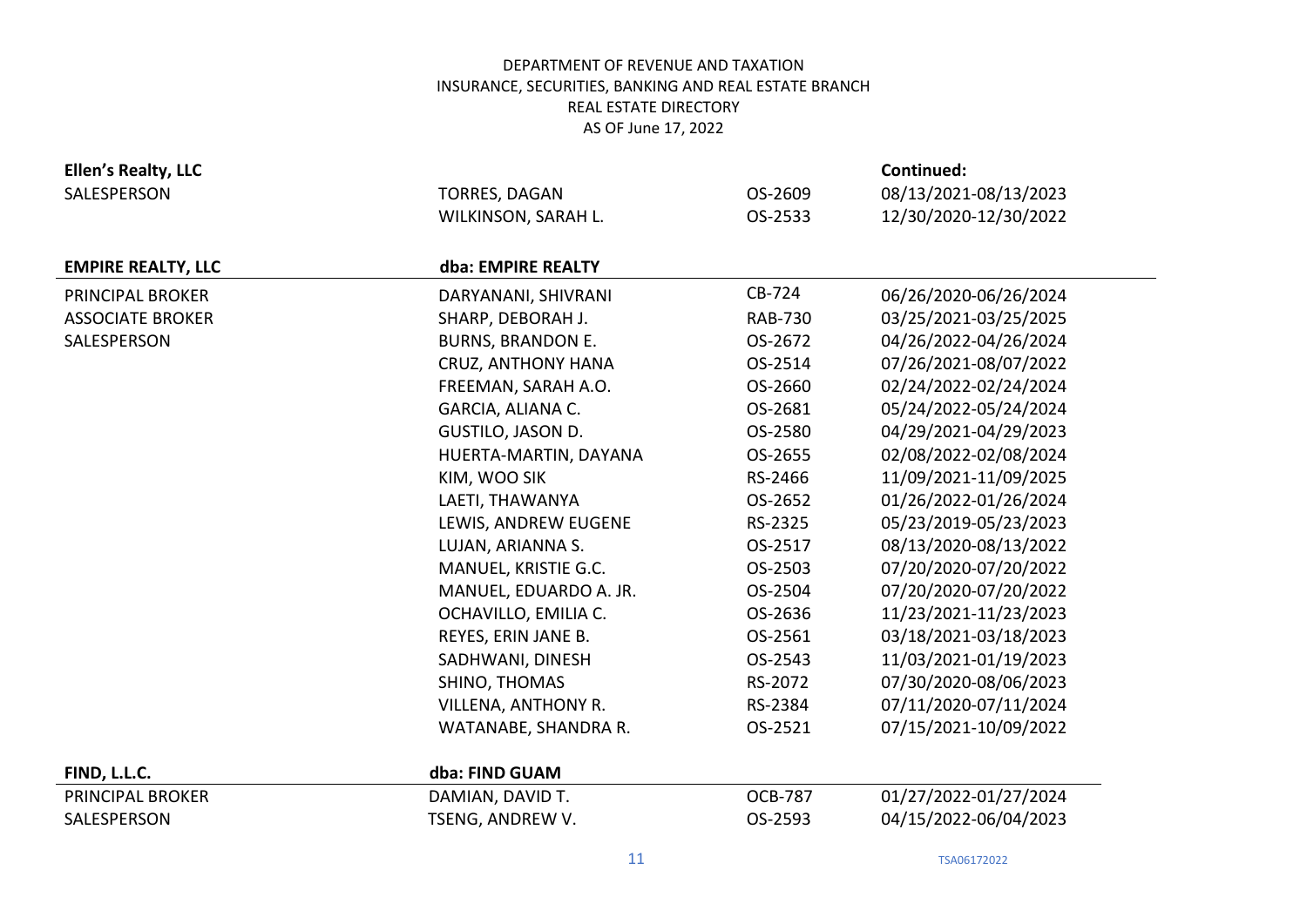| Ellen's Realty, LLC       |                          |                | Continued:            |
|---------------------------|--------------------------|----------------|-----------------------|
| SALESPERSON               | <b>TORRES, DAGAN</b>     | OS-2609        | 08/13/2021-08/13/2023 |
|                           | WILKINSON, SARAH L.      | OS-2533        | 12/30/2020-12/30/2022 |
|                           |                          |                |                       |
| <b>EMPIRE REALTY, LLC</b> | dba: EMPIRE REALTY       |                |                       |
| PRINCIPAL BROKER          | DARYANANI, SHIVRANI      | CB-724         | 06/26/2020-06/26/2024 |
| <b>ASSOCIATE BROKER</b>   | SHARP, DEBORAH J.        | <b>RAB-730</b> | 03/25/2021-03/25/2025 |
| SALESPERSON               | <b>BURNS, BRANDON E.</b> | OS-2672        | 04/26/2022-04/26/2024 |
|                           | CRUZ, ANTHONY HANA       | OS-2514        | 07/26/2021-08/07/2022 |
|                           | FREEMAN, SARAH A.O.      | OS-2660        | 02/24/2022-02/24/2024 |
|                           | GARCIA, ALIANA C.        | OS-2681        | 05/24/2022-05/24/2024 |
|                           | <b>GUSTILO, JASON D.</b> | OS-2580        | 04/29/2021-04/29/2023 |
|                           | HUERTA-MARTIN, DAYANA    | OS-2655        | 02/08/2022-02/08/2024 |
|                           | KIM, WOO SIK             | RS-2466        | 11/09/2021-11/09/2025 |
|                           | LAETI, THAWANYA          | OS-2652        | 01/26/2022-01/26/2024 |
|                           | LEWIS, ANDREW EUGENE     | RS-2325        | 05/23/2019-05/23/2023 |
|                           | LUJAN, ARIANNA S.        | OS-2517        | 08/13/2020-08/13/2022 |
|                           | MANUEL, KRISTIE G.C.     | OS-2503        | 07/20/2020-07/20/2022 |
|                           | MANUEL, EDUARDO A. JR.   | OS-2504        | 07/20/2020-07/20/2022 |
|                           | OCHAVILLO, EMILIA C.     | OS-2636        | 11/23/2021-11/23/2023 |
|                           | REYES, ERIN JANE B.      | OS-2561        | 03/18/2021-03/18/2023 |
|                           | SADHWANI, DINESH         | OS-2543        | 11/03/2021-01/19/2023 |
|                           | SHINO, THOMAS            | RS-2072        | 07/30/2020-08/06/2023 |
|                           | VILLENA, ANTHONY R.      | RS-2384        | 07/11/2020-07/11/2024 |
|                           | WATANABE, SHANDRA R.     | OS-2521        | 07/15/2021-10/09/2022 |
|                           |                          |                |                       |
| FIND, L.L.C.              | dba: FIND GUAM           |                |                       |
| PRINCIPAL BROKER          | DAMIAN, DAVID T.         | <b>OCB-787</b> | 01/27/2022-01/27/2024 |
| SALESPERSON               | TSENG, ANDREW V.         | OS-2593        | 04/15/2022-06/04/2023 |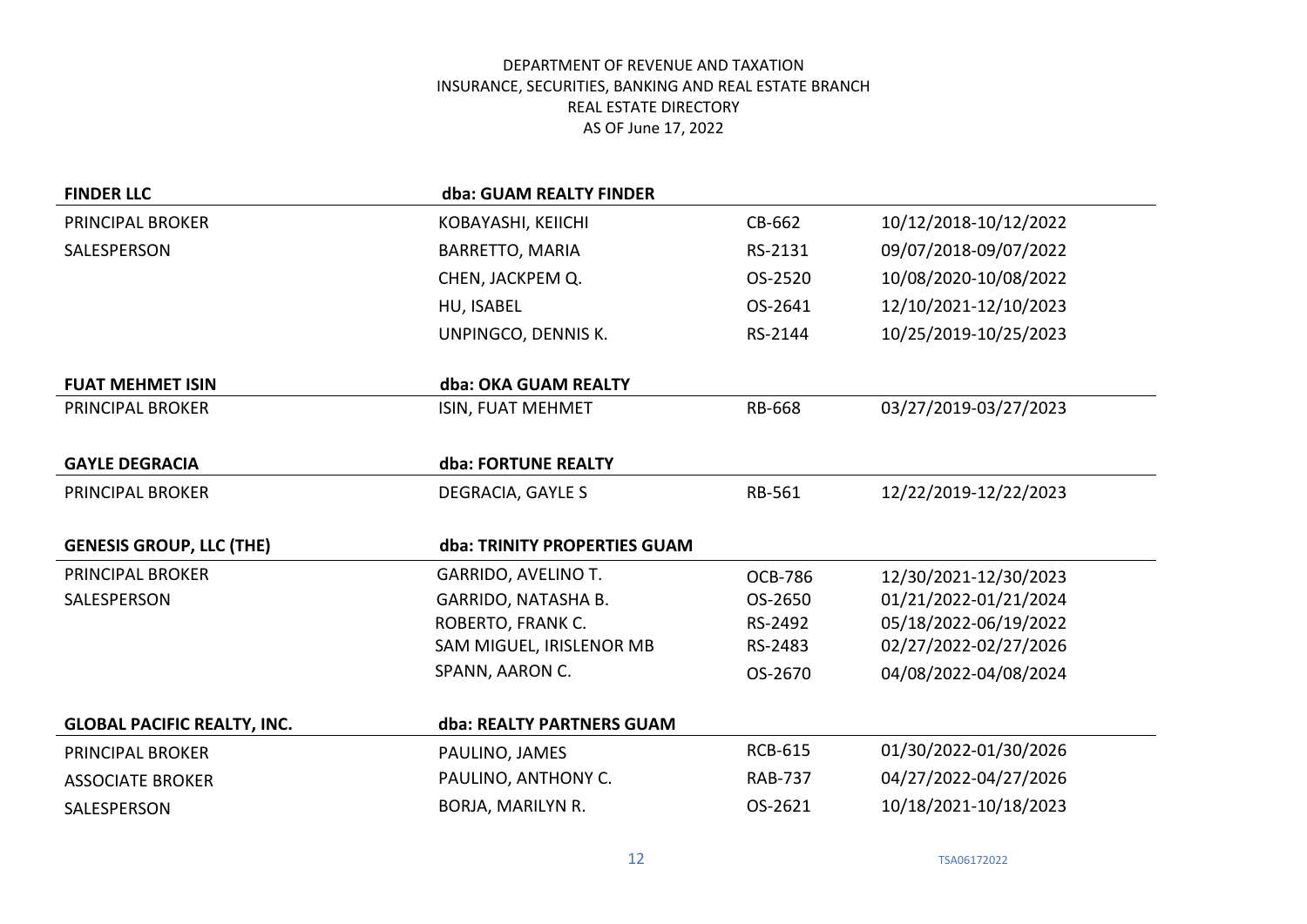| <b>FINDER LLC</b>                  | dba: GUAM REALTY FINDER      |                |                       |
|------------------------------------|------------------------------|----------------|-----------------------|
| PRINCIPAL BROKER                   | KOBAYASHI, KEIICHI           | CB-662         | 10/12/2018-10/12/2022 |
| SALESPERSON                        | <b>BARRETTO, MARIA</b>       | RS-2131        | 09/07/2018-09/07/2022 |
|                                    | CHEN, JACKPEM Q.             | OS-2520        | 10/08/2020-10/08/2022 |
|                                    | HU, ISABEL                   | OS-2641        | 12/10/2021-12/10/2023 |
|                                    | UNPINGCO, DENNIS K.          | RS-2144        | 10/25/2019-10/25/2023 |
| <b>FUAT MEHMET ISIN</b>            | dba: OKA GUAM REALTY         |                |                       |
| PRINCIPAL BROKER                   | ISIN, FUAT MEHMET            | RB-668         | 03/27/2019-03/27/2023 |
| <b>GAYLE DEGRACIA</b>              | dba: FORTUNE REALTY          |                |                       |
| PRINCIPAL BROKER                   | DEGRACIA, GAYLE S            | RB-561         | 12/22/2019-12/22/2023 |
| <b>GENESIS GROUP, LLC (THE)</b>    | dba: TRINITY PROPERTIES GUAM |                |                       |
| PRINCIPAL BROKER                   | GARRIDO, AVELINO T.          | <b>OCB-786</b> | 12/30/2021-12/30/2023 |
| SALESPERSON                        | GARRIDO, NATASHA B.          | OS-2650        | 01/21/2022-01/21/2024 |
|                                    | ROBERTO, FRANK C.            | RS-2492        | 05/18/2022-06/19/2022 |
|                                    | SAM MIGUEL, IRISLENOR MB     | RS-2483        | 02/27/2022-02/27/2026 |
|                                    | SPANN, AARON C.              | OS-2670        | 04/08/2022-04/08/2024 |
| <b>GLOBAL PACIFIC REALTY, INC.</b> | dba: REALTY PARTNERS GUAM    |                |                       |
| PRINCIPAL BROKER                   | PAULINO, JAMES               | <b>RCB-615</b> | 01/30/2022-01/30/2026 |
| <b>ASSOCIATE BROKER</b>            | PAULINO, ANTHONY C.          | <b>RAB-737</b> | 04/27/2022-04/27/2026 |
| SALESPERSON                        | BORJA, MARILYN R.            | OS-2621        | 10/18/2021-10/18/2023 |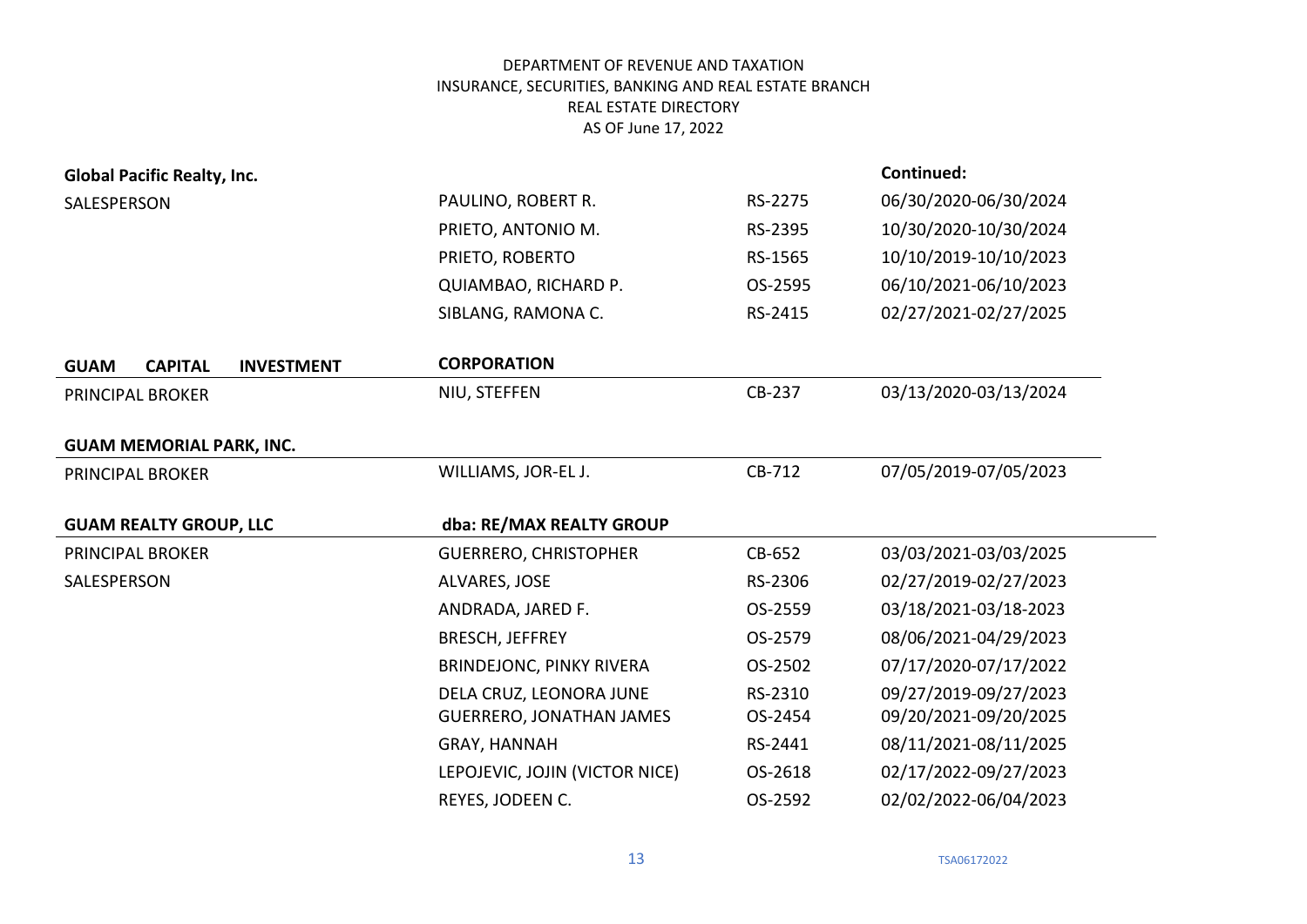| <b>Global Pacific Realty, Inc.</b>                 |                                 |         | Continued:            |
|----------------------------------------------------|---------------------------------|---------|-----------------------|
| SALESPERSON                                        | PAULINO, ROBERT R.              | RS-2275 | 06/30/2020-06/30/2024 |
|                                                    | PRIETO, ANTONIO M.              | RS-2395 | 10/30/2020-10/30/2024 |
|                                                    | PRIETO, ROBERTO                 | RS-1565 | 10/10/2019-10/10/2023 |
|                                                    | QUIAMBAO, RICHARD P.            | OS-2595 | 06/10/2021-06/10/2023 |
|                                                    | SIBLANG, RAMONA C.              | RS-2415 | 02/27/2021-02/27/2025 |
| <b>CAPITAL</b><br><b>INVESTMENT</b><br><b>GUAM</b> | <b>CORPORATION</b>              |         |                       |
| PRINCIPAL BROKER                                   | NIU, STEFFEN                    | CB-237  | 03/13/2020-03/13/2024 |
| <b>GUAM MEMORIAL PARK, INC.</b>                    |                                 |         |                       |
| PRINCIPAL BROKER                                   | WILLIAMS, JOR-EL J.             | CB-712  | 07/05/2019-07/05/2023 |
|                                                    |                                 |         |                       |
| <b>GUAM REALTY GROUP, LLC</b>                      | dba: RE/MAX REALTY GROUP        |         |                       |
| PRINCIPAL BROKER                                   | <b>GUERRERO, CHRISTOPHER</b>    | CB-652  | 03/03/2021-03/03/2025 |
| SALESPERSON                                        | ALVARES, JOSE                   | RS-2306 | 02/27/2019-02/27/2023 |
|                                                    | ANDRADA, JARED F.               | OS-2559 | 03/18/2021-03/18-2023 |
|                                                    | <b>BRESCH, JEFFREY</b>          | OS-2579 | 08/06/2021-04/29/2023 |
|                                                    | <b>BRINDEJONC, PINKY RIVERA</b> | OS-2502 | 07/17/2020-07/17/2022 |
|                                                    | DELA CRUZ, LEONORA JUNE         | RS-2310 | 09/27/2019-09/27/2023 |
|                                                    | <b>GUERRERO, JONATHAN JAMES</b> | OS-2454 | 09/20/2021-09/20/2025 |
|                                                    | GRAY, HANNAH                    | RS-2441 | 08/11/2021-08/11/2025 |
|                                                    | LEPOJEVIC, JOJIN (VICTOR NICE)  | OS-2618 | 02/17/2022-09/27/2023 |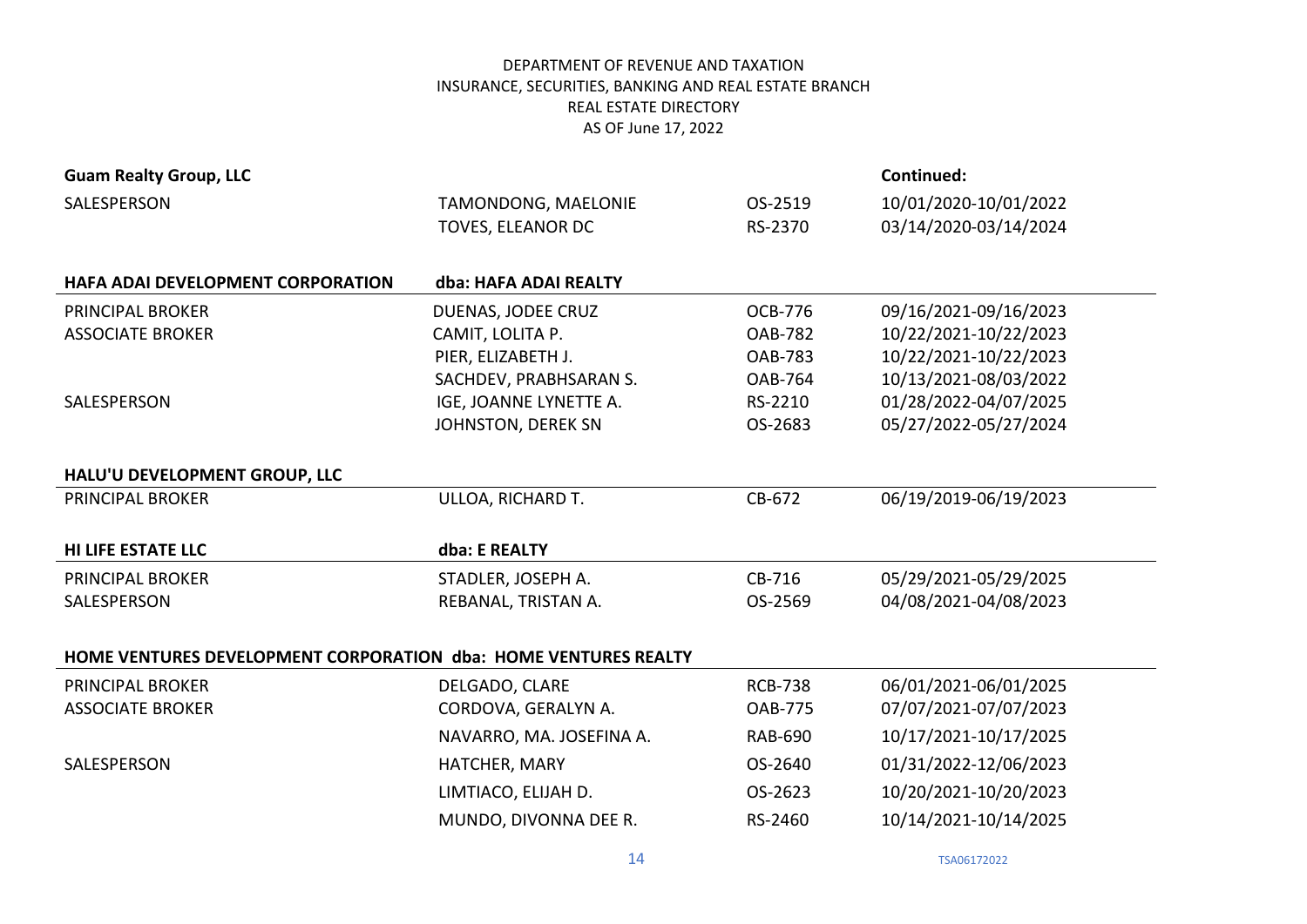| <b>Guam Realty Group, LLC</b>                                   |                           |                | Continued:            |
|-----------------------------------------------------------------|---------------------------|----------------|-----------------------|
| SALESPERSON                                                     | TAMONDONG, MAELONIE       | OS-2519        | 10/01/2020-10/01/2022 |
|                                                                 | TOVES, ELEANOR DC         | RS-2370        | 03/14/2020-03/14/2024 |
|                                                                 |                           |                |                       |
| <b>HAFA ADAI DEVELOPMENT CORPORATION</b>                        | dba: HAFA ADAI REALTY     |                |                       |
| <b>PRINCIPAL BROKER</b>                                         | DUENAS, JODEE CRUZ        | OCB-776        | 09/16/2021-09/16/2023 |
| <b>ASSOCIATE BROKER</b>                                         | CAMIT, LOLITA P.          | <b>OAB-782</b> | 10/22/2021-10/22/2023 |
|                                                                 | PIER, ELIZABETH J.        | <b>OAB-783</b> | 10/22/2021-10/22/2023 |
|                                                                 | SACHDEV, PRABHSARAN S.    | <b>OAB-764</b> | 10/13/2021-08/03/2022 |
| SALESPERSON                                                     | IGE, JOANNE LYNETTE A.    | RS-2210        | 01/28/2022-04/07/2025 |
|                                                                 | <b>JOHNSTON, DEREK SN</b> | OS-2683        | 05/27/2022-05/27/2024 |
|                                                                 |                           |                |                       |
| HALU'U DEVELOPMENT GROUP, LLC                                   |                           |                |                       |
| PRINCIPAL BROKER                                                | ULLOA, RICHARD T.         | CB-672         | 06/19/2019-06/19/2023 |
|                                                                 |                           |                |                       |
| <b>HI LIFE ESTATE LLC</b>                                       | dba: E REALTY             |                |                       |
| <b>PRINCIPAL BROKER</b>                                         | STADLER, JOSEPH A.        | CB-716         | 05/29/2021-05/29/2025 |
| SALESPERSON                                                     | REBANAL, TRISTAN A.       | OS-2569        | 04/08/2021-04/08/2023 |
|                                                                 |                           |                |                       |
| HOME VENTURES DEVELOPMENT CORPORATION dba: HOME VENTURES REALTY |                           |                |                       |
| <b>PRINCIPAL BROKER</b>                                         | DELGADO, CLARE            | <b>RCB-738</b> | 06/01/2021-06/01/2025 |
| <b>ASSOCIATE BROKER</b>                                         | CORDOVA, GERALYN A.       | <b>OAB-775</b> | 07/07/2021-07/07/2023 |
|                                                                 | NAVARRO, MA. JOSEFINA A.  | <b>RAB-690</b> | 10/17/2021-10/17/2025 |
| SALESPERSON                                                     | HATCHER, MARY             | OS-2640        | 01/31/2022-12/06/2023 |
|                                                                 | LIMTIACO, ELIJAH D.       | OS-2623        | 10/20/2021-10/20/2023 |
|                                                                 | MUNDO, DIVONNA DEE R.     | RS-2460        |                       |
|                                                                 |                           |                | 10/14/2021-10/14/2025 |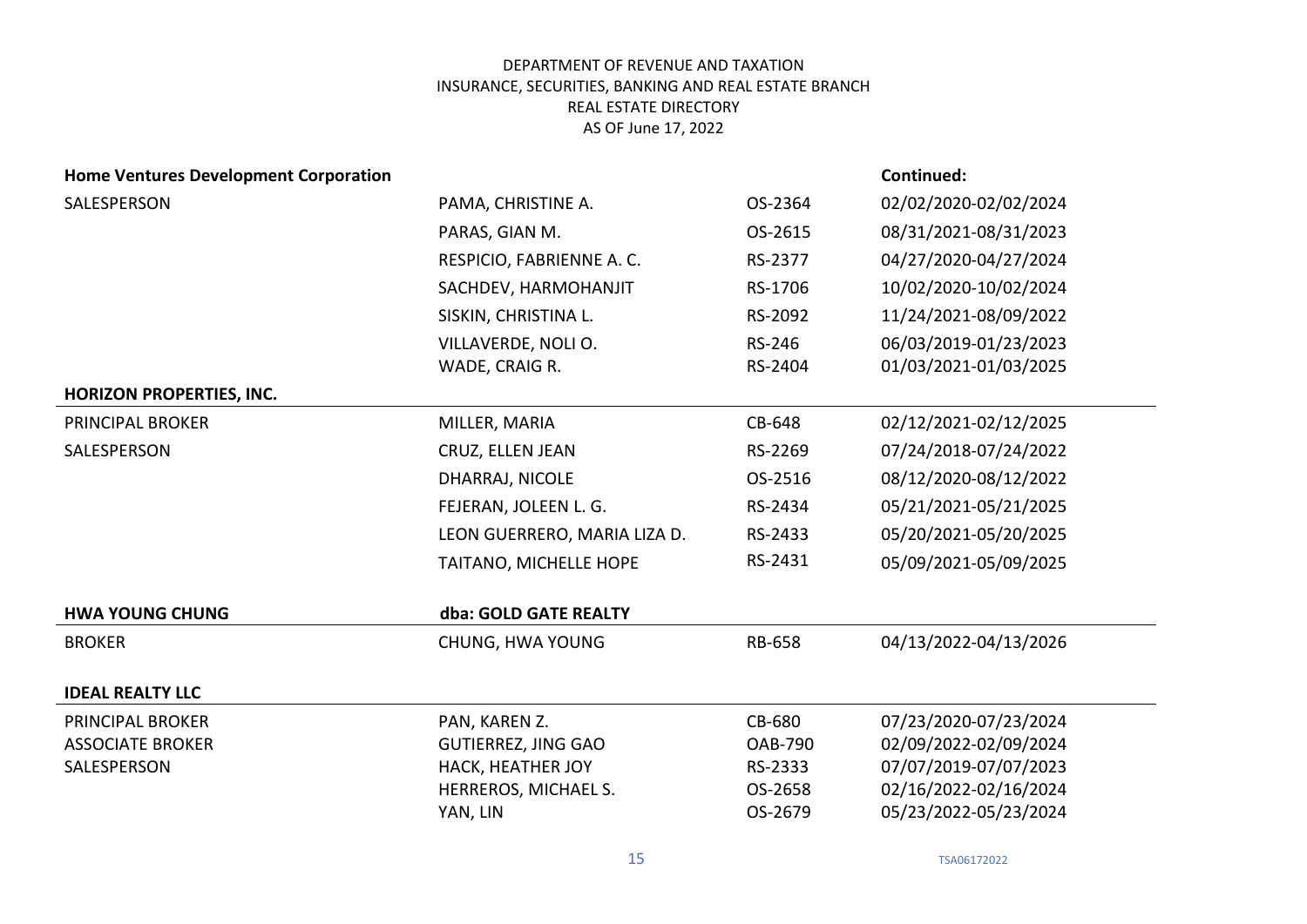| <b>Home Ventures Development Corporation</b> |                              |                | Continued:            |
|----------------------------------------------|------------------------------|----------------|-----------------------|
| SALESPERSON                                  | PAMA, CHRISTINE A.           | OS-2364        | 02/02/2020-02/02/2024 |
|                                              | PARAS, GIAN M.               | OS-2615        | 08/31/2021-08/31/2023 |
|                                              | RESPICIO, FABRIENNE A. C.    | RS-2377        | 04/27/2020-04/27/2024 |
|                                              | SACHDEV, HARMOHANJIT         | RS-1706        | 10/02/2020-10/02/2024 |
|                                              | SISKIN, CHRISTINA L.         | RS-2092        | 11/24/2021-08/09/2022 |
|                                              | VILLAVERDE, NOLI O.          | RS-246         | 06/03/2019-01/23/2023 |
|                                              | WADE, CRAIG R.               | RS-2404        | 01/03/2021-01/03/2025 |
| HORIZON PROPERTIES, INC.                     |                              |                |                       |
| <b>PRINCIPAL BROKER</b>                      | MILLER, MARIA                | CB-648         | 02/12/2021-02/12/2025 |
| SALESPERSON                                  | CRUZ, ELLEN JEAN             | RS-2269        | 07/24/2018-07/24/2022 |
|                                              | DHARRAJ, NICOLE              | OS-2516        | 08/12/2020-08/12/2022 |
|                                              | FEJERAN, JOLEEN L. G.        | RS-2434        | 05/21/2021-05/21/2025 |
|                                              | LEON GUERRERO, MARIA LIZA D. | RS-2433        | 05/20/2021-05/20/2025 |
|                                              | TAITANO, MICHELLE HOPE       | RS-2431        | 05/09/2021-05/09/2025 |
| <b>HWA YOUNG CHUNG</b>                       | dba: GOLD GATE REALTY        |                |                       |
| <b>BROKER</b>                                | CHUNG, HWA YOUNG             | <b>RB-658</b>  | 04/13/2022-04/13/2026 |
| <b>IDEAL REALTY LLC</b>                      |                              |                |                       |
| PRINCIPAL BROKER                             | PAN, KAREN Z.                | CB-680         | 07/23/2020-07/23/2024 |
| <b>ASSOCIATE BROKER</b>                      | <b>GUTIERREZ, JING GAO</b>   | <b>OAB-790</b> | 02/09/2022-02/09/2024 |
| SALESPERSON                                  | HACK, HEATHER JOY            | RS-2333        | 07/07/2019-07/07/2023 |
|                                              | HERREROS, MICHAEL S.         | OS-2658        | 02/16/2022-02/16/2024 |
|                                              | YAN, LIN                     | OS-2679        | 05/23/2022-05/23/2024 |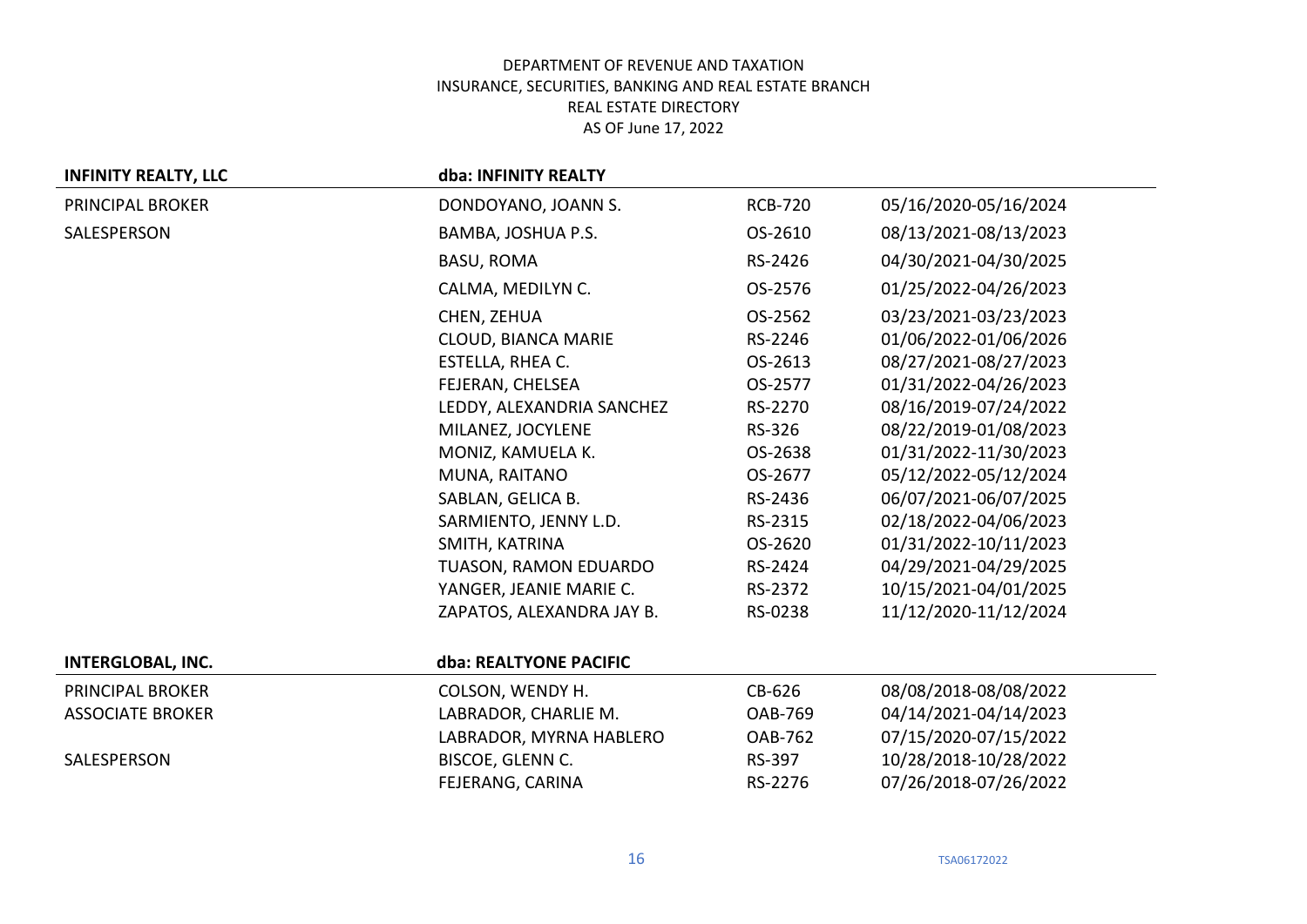| <b>INFINITY REALTY, LLC</b> | dba: INFINITY REALTY      |                |                       |
|-----------------------------|---------------------------|----------------|-----------------------|
| PRINCIPAL BROKER            | DONDOYANO, JOANN S.       | <b>RCB-720</b> | 05/16/2020-05/16/2024 |
| SALESPERSON                 | BAMBA, JOSHUA P.S.        | OS-2610        | 08/13/2021-08/13/2023 |
|                             | <b>BASU, ROMA</b>         | RS-2426        | 04/30/2021-04/30/2025 |
|                             | CALMA, MEDILYN C.         | OS-2576        | 01/25/2022-04/26/2023 |
|                             | CHEN, ZEHUA               | OS-2562        | 03/23/2021-03/23/2023 |
|                             | CLOUD, BIANCA MARIE       | RS-2246        | 01/06/2022-01/06/2026 |
|                             | <b>ESTELLA, RHEA C.</b>   | OS-2613        | 08/27/2021-08/27/2023 |
|                             | FEJERAN, CHELSEA          | OS-2577        | 01/31/2022-04/26/2023 |
|                             | LEDDY, ALEXANDRIA SANCHEZ | RS-2270        | 08/16/2019-07/24/2022 |
|                             | MILANEZ, JOCYLENE         | RS-326         | 08/22/2019-01/08/2023 |
|                             | MONIZ, KAMUELA K.         | OS-2638        | 01/31/2022-11/30/2023 |
|                             | MUNA, RAITANO             | OS-2677        | 05/12/2022-05/12/2024 |
|                             | SABLAN, GELICA B.         | RS-2436        | 06/07/2021-06/07/2025 |
|                             | SARMIENTO, JENNY L.D.     | RS-2315        | 02/18/2022-04/06/2023 |
|                             | SMITH, KATRINA            | OS-2620        | 01/31/2022-10/11/2023 |
|                             | TUASON, RAMON EDUARDO     | RS-2424        | 04/29/2021-04/29/2025 |
|                             | YANGER, JEANIE MARIE C.   | RS-2372        | 10/15/2021-04/01/2025 |
|                             | ZAPATOS, ALEXANDRA JAY B. | RS-0238        | 11/12/2020-11/12/2024 |
|                             |                           |                |                       |
| <b>INTERGLOBAL, INC.</b>    | dba: REALTYONE PACIFIC    |                |                       |
| PRINCIPAL BROKER            | COLSON, WENDY H.          | CB-626         | 08/08/2018-08/08/2022 |
| <b>ASSOCIATE BROKER</b>     | LABRADOR, CHARLIE M.      | <b>OAB-769</b> | 04/14/2021-04/14/2023 |
|                             | LABRADOR, MYRNA HABLERO   | <b>OAB-762</b> | 07/15/2020-07/15/2022 |
| SALESPERSON                 | BISCOE, GLENN C.          | RS-397         | 10/28/2018-10/28/2022 |
|                             | FEJERANG, CARINA          | RS-2276        | 07/26/2018-07/26/2022 |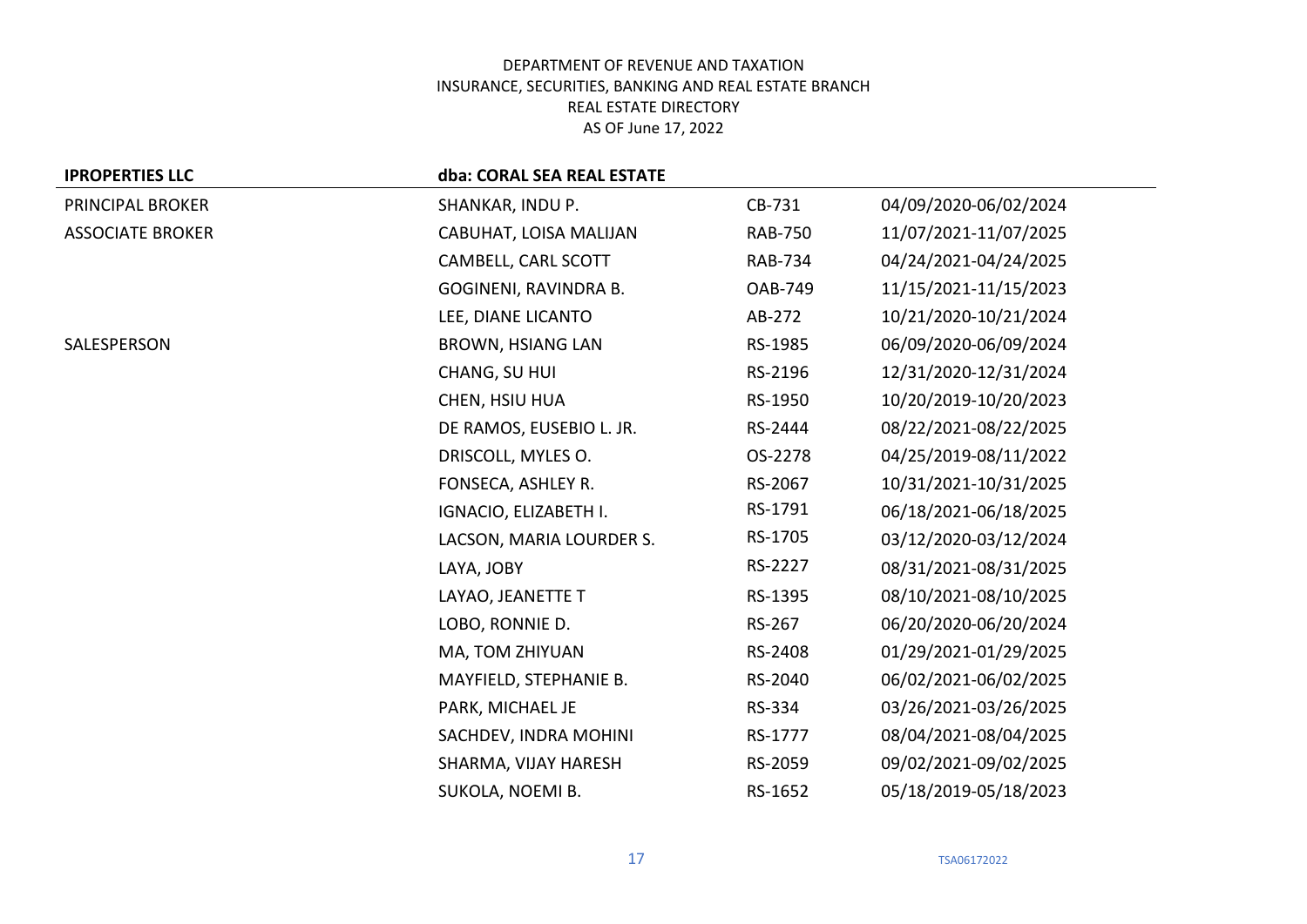| <b>IPROPERTIES LLC</b>  | dba: CORAL SEA REAL ESTATE |                |                       |
|-------------------------|----------------------------|----------------|-----------------------|
| PRINCIPAL BROKER        | SHANKAR, INDU P.           | CB-731         | 04/09/2020-06/02/2024 |
| <b>ASSOCIATE BROKER</b> | CABUHAT, LOISA MALIJAN     | <b>RAB-750</b> | 11/07/2021-11/07/2025 |
|                         | CAMBELL, CARL SCOTT        | <b>RAB-734</b> | 04/24/2021-04/24/2025 |
|                         | GOGINENI, RAVINDRA B.      | <b>OAB-749</b> | 11/15/2021-11/15/2023 |
|                         | LEE, DIANE LICANTO         | AB-272         | 10/21/2020-10/21/2024 |
| SALESPERSON             | <b>BROWN, HSIANG LAN</b>   | RS-1985        | 06/09/2020-06/09/2024 |
|                         | CHANG, SU HUI              | RS-2196        | 12/31/2020-12/31/2024 |
|                         | CHEN, HSIU HUA             | RS-1950        | 10/20/2019-10/20/2023 |
|                         | DE RAMOS, EUSEBIO L. JR.   | RS-2444        | 08/22/2021-08/22/2025 |
|                         | DRISCOLL, MYLES O.         | OS-2278        | 04/25/2019-08/11/2022 |
|                         | FONSECA, ASHLEY R.         | RS-2067        | 10/31/2021-10/31/2025 |
|                         | IGNACIO, ELIZABETH I.      | RS-1791        | 06/18/2021-06/18/2025 |
|                         | LACSON, MARIA LOURDER S.   | RS-1705        | 03/12/2020-03/12/2024 |
|                         | LAYA, JOBY                 | RS-2227        | 08/31/2021-08/31/2025 |
|                         | LAYAO, JEANETTE T          | RS-1395        | 08/10/2021-08/10/2025 |
|                         | LOBO, RONNIE D.            | RS-267         | 06/20/2020-06/20/2024 |
|                         | MA, TOM ZHIYUAN            | RS-2408        | 01/29/2021-01/29/2025 |
|                         | MAYFIELD, STEPHANIE B.     | RS-2040        | 06/02/2021-06/02/2025 |
|                         | PARK, MICHAEL JE           | RS-334         | 03/26/2021-03/26/2025 |
|                         | SACHDEV, INDRA MOHINI      | RS-1777        | 08/04/2021-08/04/2025 |
|                         | SHARMA, VIJAY HARESH       | RS-2059        | 09/02/2021-09/02/2025 |
|                         | SUKOLA, NOEMI B.           | RS-1652        | 05/18/2019-05/18/2023 |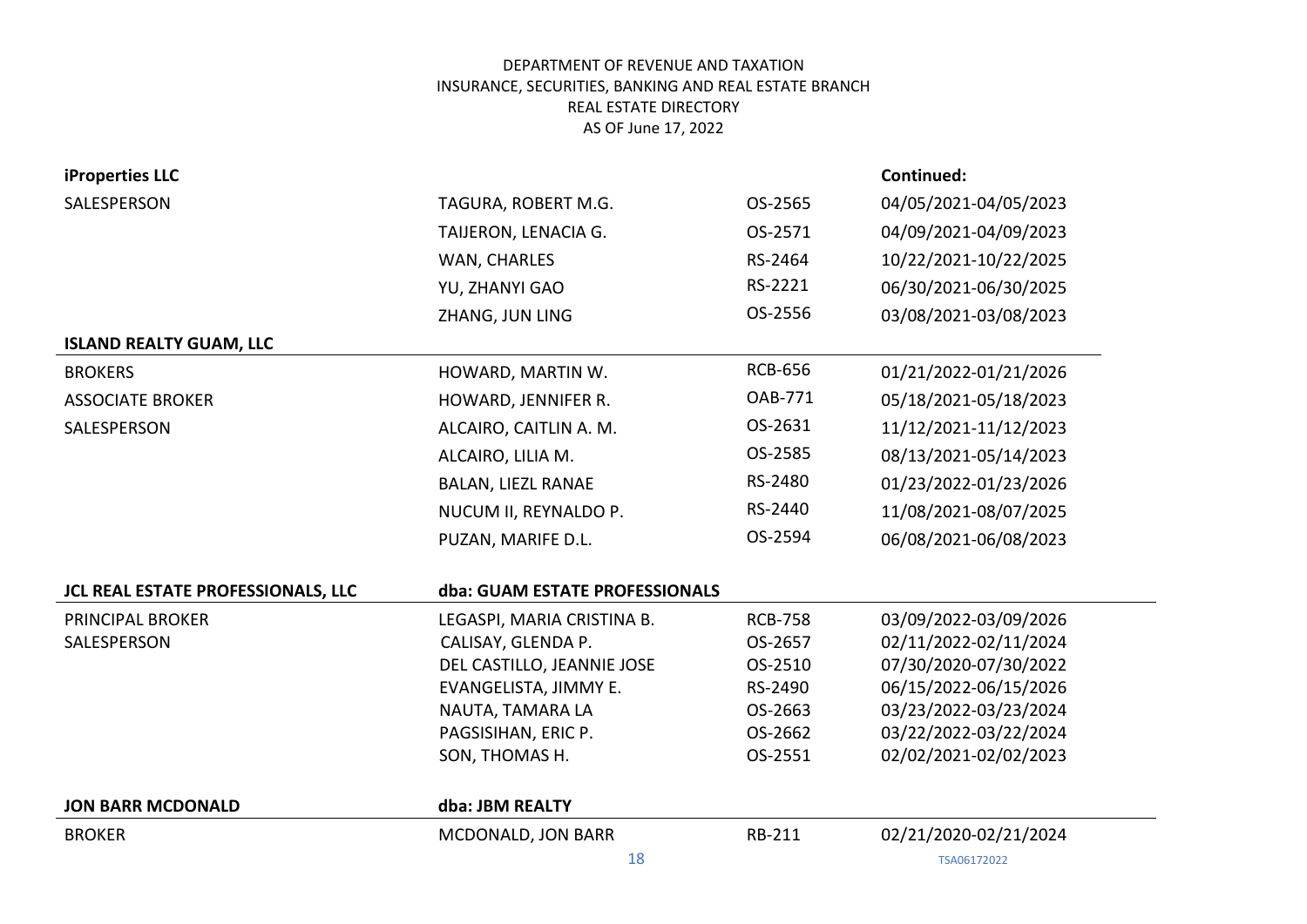| iProperties LLC                    |                                |                | Continued:            |
|------------------------------------|--------------------------------|----------------|-----------------------|
| SALESPERSON                        | TAGURA, ROBERT M.G.            | OS-2565        | 04/05/2021-04/05/2023 |
|                                    | TAIJERON, LENACIA G.           | OS-2571        | 04/09/2021-04/09/2023 |
|                                    | WAN, CHARLES                   | RS-2464        | 10/22/2021-10/22/2025 |
|                                    | YU, ZHANYI GAO                 | RS-2221        | 06/30/2021-06/30/2025 |
|                                    | ZHANG, JUN LING                | OS-2556        | 03/08/2021-03/08/2023 |
| <b>ISLAND REALTY GUAM, LLC</b>     |                                |                |                       |
| <b>BROKERS</b>                     | HOWARD, MARTIN W.              | <b>RCB-656</b> | 01/21/2022-01/21/2026 |
| <b>ASSOCIATE BROKER</b>            | HOWARD, JENNIFER R.            | <b>OAB-771</b> | 05/18/2021-05/18/2023 |
| SALESPERSON                        | ALCAIRO, CAITLIN A. M.         | OS-2631        | 11/12/2021-11/12/2023 |
|                                    | ALCAIRO, LILIA M.              | OS-2585        | 08/13/2021-05/14/2023 |
|                                    | <b>BALAN, LIEZL RANAE</b>      | RS-2480        | 01/23/2022-01/23/2026 |
|                                    | NUCUM II, REYNALDO P.          | RS-2440        | 11/08/2021-08/07/2025 |
|                                    | PUZAN, MARIFE D.L.             | OS-2594        | 06/08/2021-06/08/2023 |
|                                    |                                |                |                       |
| JCL REAL ESTATE PROFESSIONALS, LLC | dba: GUAM ESTATE PROFESSIONALS |                |                       |
| <b>PRINCIPAL BROKER</b>            | LEGASPI, MARIA CRISTINA B.     | <b>RCB-758</b> | 03/09/2022-03/09/2026 |
| SALESPERSON                        | CALISAY, GLENDA P.             | OS-2657        | 02/11/2022-02/11/2024 |
|                                    | DEL CASTILLO, JEANNIE JOSE     | OS-2510        | 07/30/2020-07/30/2022 |
|                                    | EVANGELISTA, JIMMY E.          | RS-2490        | 06/15/2022-06/15/2026 |
|                                    | NAUTA, TAMARA LA               | OS-2663        | 03/23/2022-03/23/2024 |
|                                    | PAGSISIHAN, ERIC P.            | OS-2662        | 03/22/2022-03/22/2024 |
|                                    | SON, THOMAS H.                 | OS-2551        | 02/02/2021-02/02/2023 |
| <b>JON BARR MCDONALD</b>           | dba: JBM REALTY                |                |                       |
|                                    |                                |                |                       |
| <b>BROKER</b>                      | MCDONALD, JON BARR             | RB-211         | 02/21/2020-02/21/2024 |
|                                    | 18                             |                | TSA06172022           |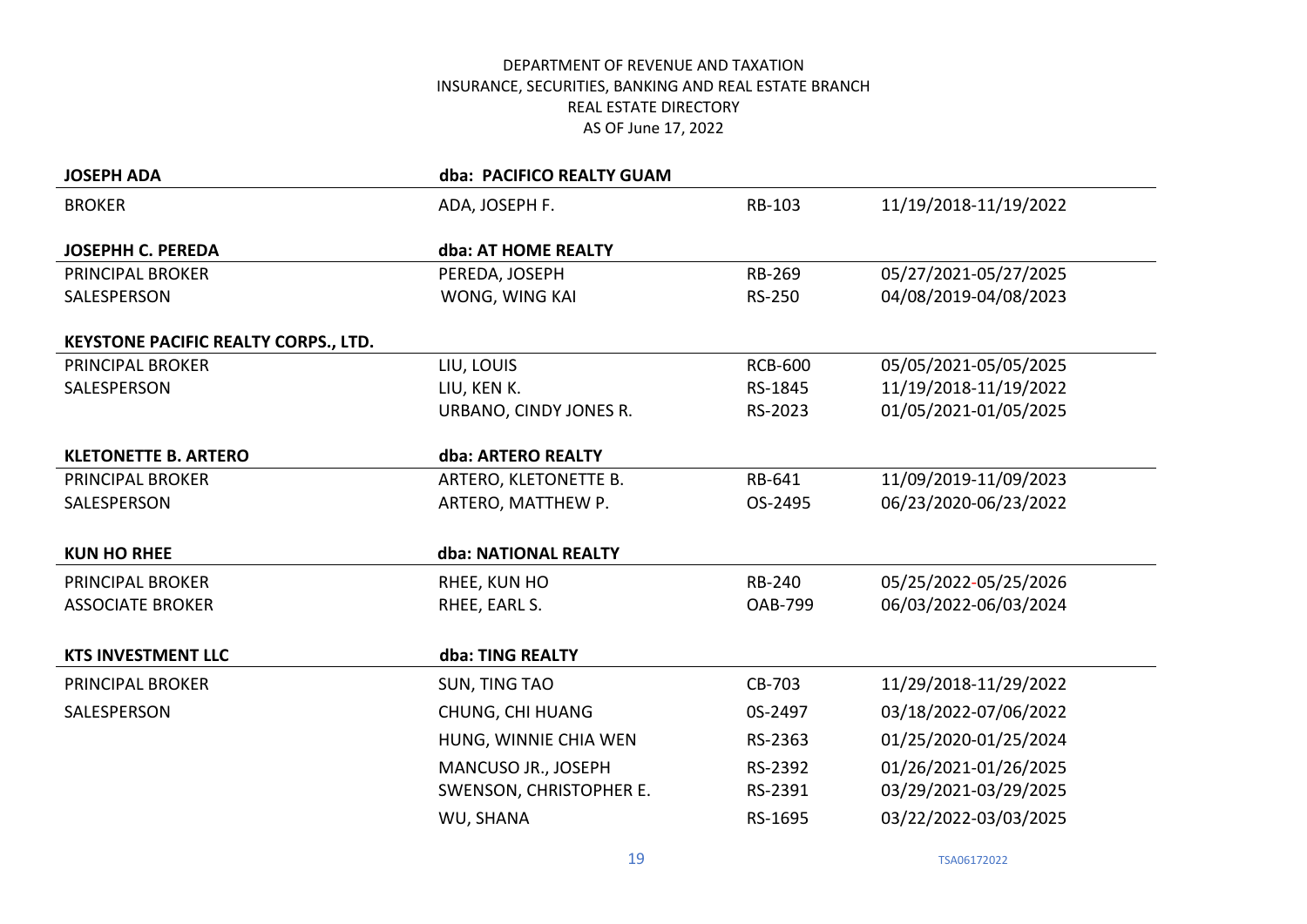| <b>JOSEPH ADA</b>                    | dba: PACIFICO REALTY GUAM |                |                       |
|--------------------------------------|---------------------------|----------------|-----------------------|
| <b>BROKER</b>                        | ADA, JOSEPH F.            | RB-103         | 11/19/2018-11/19/2022 |
|                                      |                           |                |                       |
| <b>JOSEPHH C. PEREDA</b>             | dba: AT HOME REALTY       |                |                       |
| PRINCIPAL BROKER                     | PEREDA, JOSEPH            | RB-269         | 05/27/2021-05/27/2025 |
| SALESPERSON                          | WONG, WING KAI            | RS-250         | 04/08/2019-04/08/2023 |
| KEYSTONE PACIFIC REALTY CORPS., LTD. |                           |                |                       |
| <b>PRINCIPAL BROKER</b>              | LIU, LOUIS                | <b>RCB-600</b> | 05/05/2021-05/05/2025 |
| SALESPERSON                          | LIU, KEN K.               | RS-1845        | 11/19/2018-11/19/2022 |
|                                      | URBANO, CINDY JONES R.    | RS-2023        | 01/05/2021-01/05/2025 |
|                                      |                           |                |                       |
| <b>KLETONETTE B. ARTERO</b>          | dba: ARTERO REALTY        |                |                       |
| PRINCIPAL BROKER                     | ARTERO, KLETONETTE B.     | RB-641         | 11/09/2019-11/09/2023 |
| SALESPERSON                          | ARTERO, MATTHEW P.        | OS-2495        | 06/23/2020-06/23/2022 |
| <b>KUN HO RHEE</b>                   | dba: NATIONAL REALTY      |                |                       |
|                                      |                           |                |                       |
| <b>PRINCIPAL BROKER</b>              | RHEE, KUN HO              | <b>RB-240</b>  | 05/25/2022-05/25/2026 |
| <b>ASSOCIATE BROKER</b>              | RHEE, EARL S.             | <b>OAB-799</b> | 06/03/2022-06/03/2024 |
|                                      |                           |                |                       |
| <b>KTS INVESTMENT LLC</b>            | dba: TING REALTY          |                |                       |
| <b>PRINCIPAL BROKER</b>              | <b>SUN, TING TAO</b>      | CB-703         | 11/29/2018-11/29/2022 |
| SALESPERSON                          | CHUNG, CHI HUANG          | 0S-2497        | 03/18/2022-07/06/2022 |
|                                      | HUNG, WINNIE CHIA WEN     | RS-2363        | 01/25/2020-01/25/2024 |
|                                      | MANCUSO JR., JOSEPH       | RS-2392        | 01/26/2021-01/26/2025 |
|                                      | SWENSON, CHRISTOPHER E.   | RS-2391        | 03/29/2021-03/29/2025 |
|                                      | WU, SHANA                 | RS-1695        | 03/22/2022-03/03/2025 |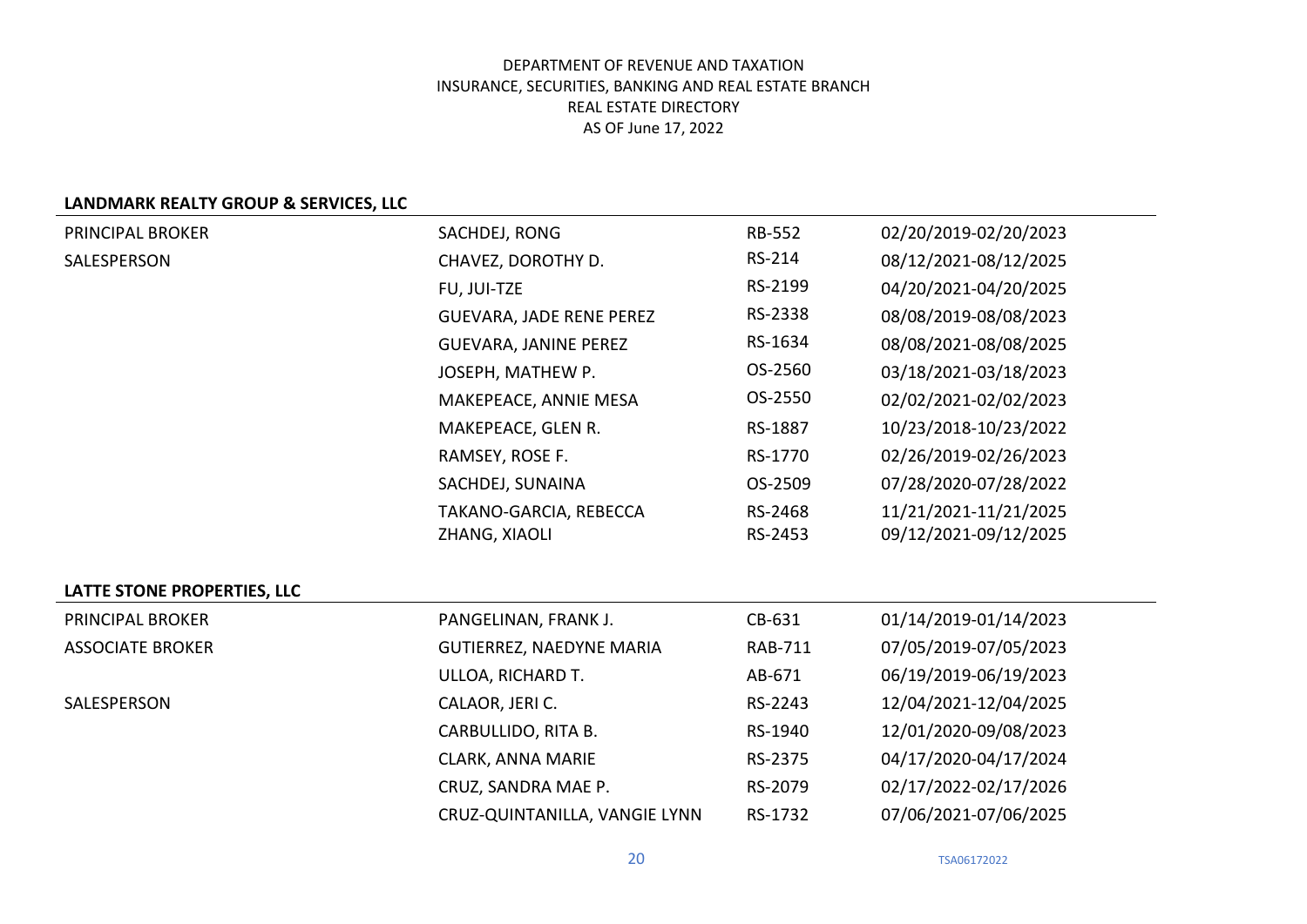### **LANDMARK REALTY GROUP & SERVICES, LLC**

| PRINCIPAL BROKER            | SACHDEJ, RONG                   | <b>RB-552</b>  | 02/20/2019-02/20/2023 |
|-----------------------------|---------------------------------|----------------|-----------------------|
| SALESPERSON                 | CHAVEZ, DOROTHY D.              | RS-214         | 08/12/2021-08/12/2025 |
|                             | FU, JUI-TZE                     | RS-2199        | 04/20/2021-04/20/2025 |
|                             | <b>GUEVARA, JADE RENE PEREZ</b> | RS-2338        | 08/08/2019-08/08/2023 |
|                             | <b>GUEVARA, JANINE PEREZ</b>    | RS-1634        | 08/08/2021-08/08/2025 |
|                             | JOSEPH, MATHEW P.               | OS-2560        | 03/18/2021-03/18/2023 |
|                             | MAKEPEACE, ANNIE MESA           | OS-2550        | 02/02/2021-02/02/2023 |
|                             | MAKEPEACE, GLEN R.              | RS-1887        | 10/23/2018-10/23/2022 |
|                             | RAMSEY, ROSE F.                 | RS-1770        | 02/26/2019-02/26/2023 |
|                             | SACHDEJ, SUNAINA                | OS-2509        | 07/28/2020-07/28/2022 |
|                             | TAKANO-GARCIA, REBECCA          | RS-2468        | 11/21/2021-11/21/2025 |
|                             | ZHANG, XIAOLI                   | RS-2453        | 09/12/2021-09/12/2025 |
|                             |                                 |                |                       |
| LATTE STONE PROPERTIES, LLC |                                 |                |                       |
| PRINCIPAL BROKER            | PANGELINAN, FRANK J.            | CB-631         | 01/14/2019-01/14/2023 |
| <b>ASSOCIATE BROKER</b>     | GUTIERREZ, NAEDYNE MARIA        | <b>RAB-711</b> | 07/05/2019-07/05/2023 |
|                             | ULLOA, RICHARD T.               | AB-671         | 06/19/2019-06/19/2023 |
| SALESPERSON                 | CALAOR, JERI C.                 | RS-2243        | 12/04/2021-12/04/2025 |
|                             | CARBULLIDO, RITA B.             | RS-1940        | 12/01/2020-09/08/2023 |
|                             | CLARK, ANNA MARIE               | RS-2375        | 04/17/2020-04/17/2024 |
|                             | CRUZ, SANDRA MAE P.             | RS-2079        | 02/17/2022-02/17/2026 |
|                             | CRUZ-QUINTANILLA, VANGIE LYNN   | RS-1732        | 07/06/2021-07/06/2025 |

**20** TSA06172022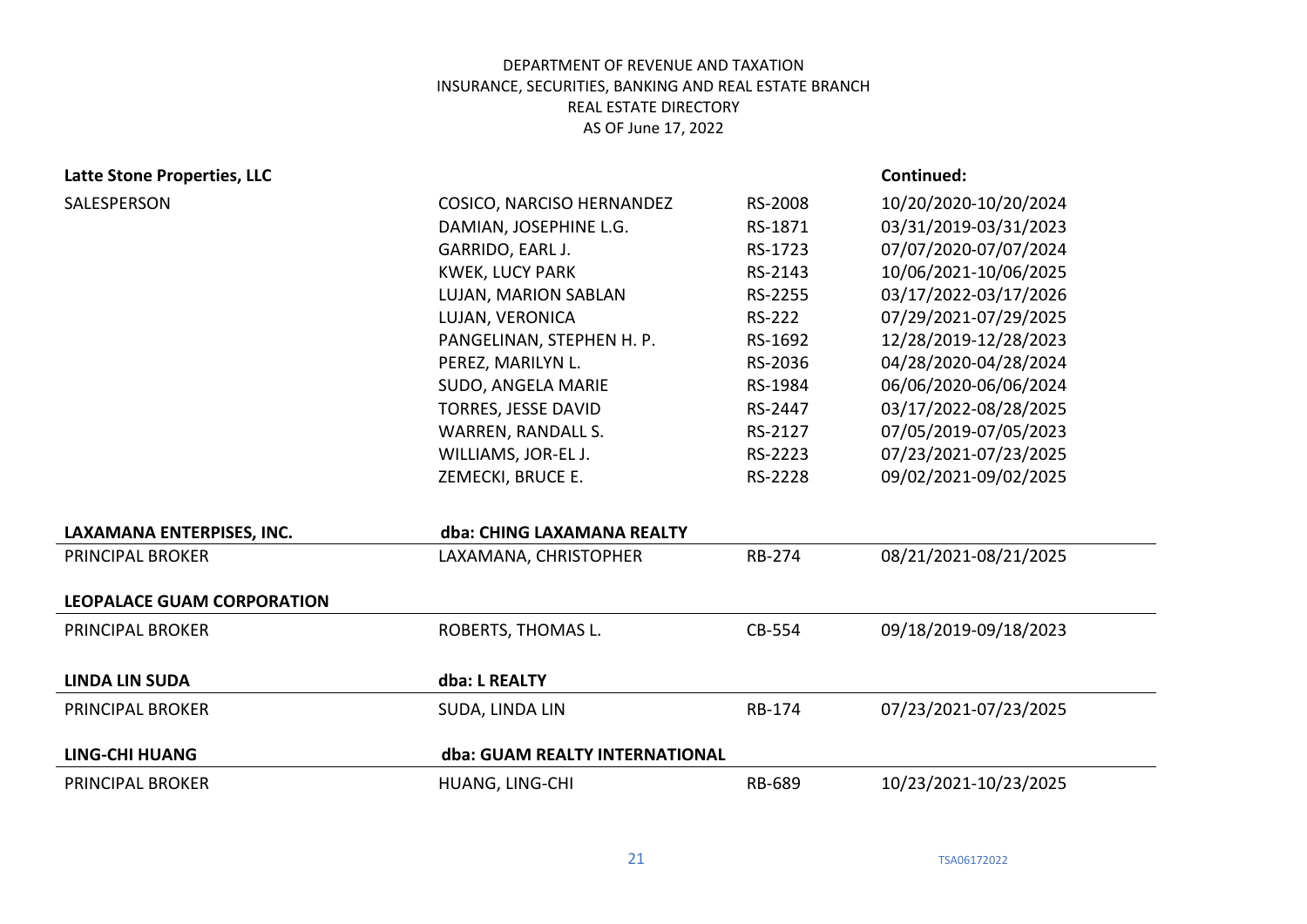# **Latte Stone Properties, LLC Continued:**

|                                |                           | 10/20/2020-10/20/2024 |
|--------------------------------|---------------------------|-----------------------|
| DAMIAN, JOSEPHINE L.G.         | RS-1871                   | 03/31/2019-03/31/2023 |
| GARRIDO, EARL J.               | RS-1723                   | 07/07/2020-07/07/2024 |
| <b>KWEK, LUCY PARK</b>         | RS-2143                   | 10/06/2021-10/06/2025 |
| LUJAN, MARION SABLAN           | RS-2255                   | 03/17/2022-03/17/2026 |
| LUJAN, VERONICA                | RS-222                    | 07/29/2021-07/29/2025 |
| PANGELINAN, STEPHEN H. P.      | RS-1692                   | 12/28/2019-12/28/2023 |
| PEREZ, MARILYN L.              | RS-2036                   | 04/28/2020-04/28/2024 |
| SUDO, ANGELA MARIE             | RS-1984                   | 06/06/2020-06/06/2024 |
| TORRES, JESSE DAVID            | RS-2447                   | 03/17/2022-08/28/2025 |
| <b>WARREN, RANDALL S.</b>      | RS-2127                   | 07/05/2019-07/05/2023 |
| WILLIAMS, JOR-EL J.            | RS-2223                   | 07/23/2021-07/23/2025 |
| ZEMECKI, BRUCE E.              | RS-2228                   | 09/02/2021-09/02/2025 |
| dba: CHING LAXAMANA REALTY     |                           |                       |
| LAXAMANA, CHRISTOPHER          | RB-274                    | 08/21/2021-08/21/2025 |
|                                |                           |                       |
| ROBERTS, THOMAS L.             | CB-554                    | 09/18/2019-09/18/2023 |
|                                |                           |                       |
| dba: L REALTY                  |                           |                       |
| SUDA, LINDA LIN                | RB-174                    | 07/23/2021-07/23/2025 |
| dba: GUAM REALTY INTERNATIONAL |                           |                       |
|                                | COSICO, NARCISO HERNANDEZ | RS-2008               |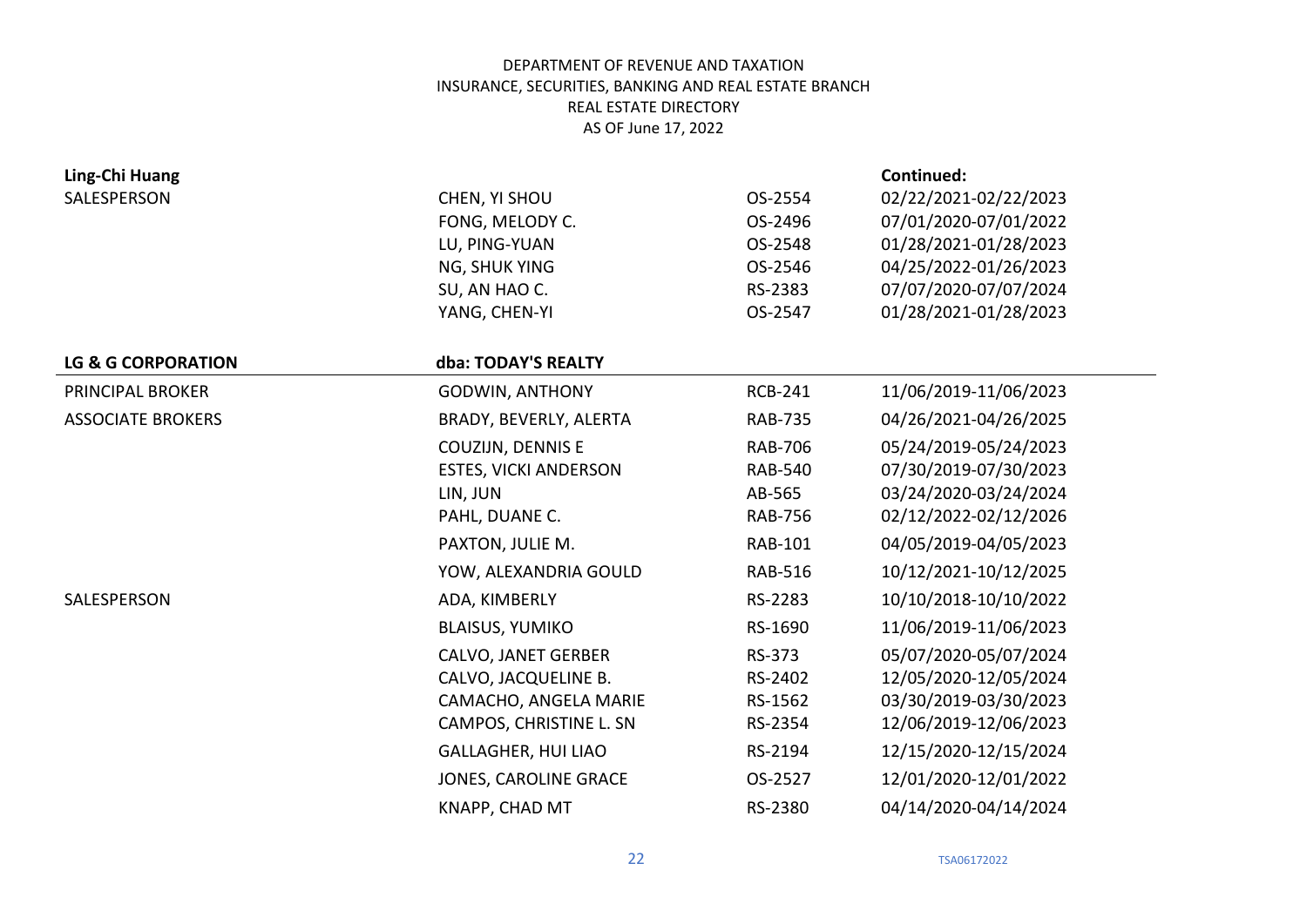| Ling-Chi Huang                |                              |                | Continued:            |
|-------------------------------|------------------------------|----------------|-----------------------|
| SALESPERSON                   | CHEN, YI SHOU                | OS-2554        | 02/22/2021-02/22/2023 |
|                               | FONG, MELODY C.              | OS-2496        | 07/01/2020-07/01/2022 |
|                               | LU, PING-YUAN                | OS-2548        | 01/28/2021-01/28/2023 |
|                               | NG, SHUK YING                | OS-2546        | 04/25/2022-01/26/2023 |
|                               | SU, AN HAO C.                | RS-2383        | 07/07/2020-07/07/2024 |
|                               | YANG, CHEN-YI                | OS-2547        | 01/28/2021-01/28/2023 |
|                               |                              |                |                       |
| <b>LG &amp; G CORPORATION</b> | dba: TODAY'S REALTY          |                |                       |
| PRINCIPAL BROKER              | <b>GODWIN, ANTHONY</b>       | <b>RCB-241</b> | 11/06/2019-11/06/2023 |
| <b>ASSOCIATE BROKERS</b>      | BRADY, BEVERLY, ALERTA       | <b>RAB-735</b> | 04/26/2021-04/26/2025 |
|                               | COUZIJN, DENNIS E            | <b>RAB-706</b> | 05/24/2019-05/24/2023 |
|                               | <b>ESTES, VICKI ANDERSON</b> | <b>RAB-540</b> | 07/30/2019-07/30/2023 |
|                               | LIN, JUN                     | AB-565         | 03/24/2020-03/24/2024 |
|                               | PAHL, DUANE C.               | <b>RAB-756</b> | 02/12/2022-02/12/2026 |
|                               | PAXTON, JULIE M.             | <b>RAB-101</b> | 04/05/2019-04/05/2023 |
|                               | YOW, ALEXANDRIA GOULD        | <b>RAB-516</b> | 10/12/2021-10/12/2025 |
| SALESPERSON                   | ADA, KIMBERLY                | RS-2283        | 10/10/2018-10/10/2022 |
|                               | <b>BLAISUS, YUMIKO</b>       | RS-1690        | 11/06/2019-11/06/2023 |
|                               | <b>CALVO, JANET GERBER</b>   | RS-373         | 05/07/2020-05/07/2024 |
|                               | CALVO, JACQUELINE B.         | RS-2402        | 12/05/2020-12/05/2024 |
|                               | CAMACHO, ANGELA MARIE        | RS-1562        | 03/30/2019-03/30/2023 |
|                               | CAMPOS, CHRISTINE L. SN      | RS-2354        | 12/06/2019-12/06/2023 |
|                               | <b>GALLAGHER, HUI LIAO</b>   | RS-2194        | 12/15/2020-12/15/2024 |
|                               | <b>JONES, CAROLINE GRACE</b> | OS-2527        | 12/01/2020-12/01/2022 |
|                               | KNAPP, CHAD MT               | RS-2380        | 04/14/2020-04/14/2024 |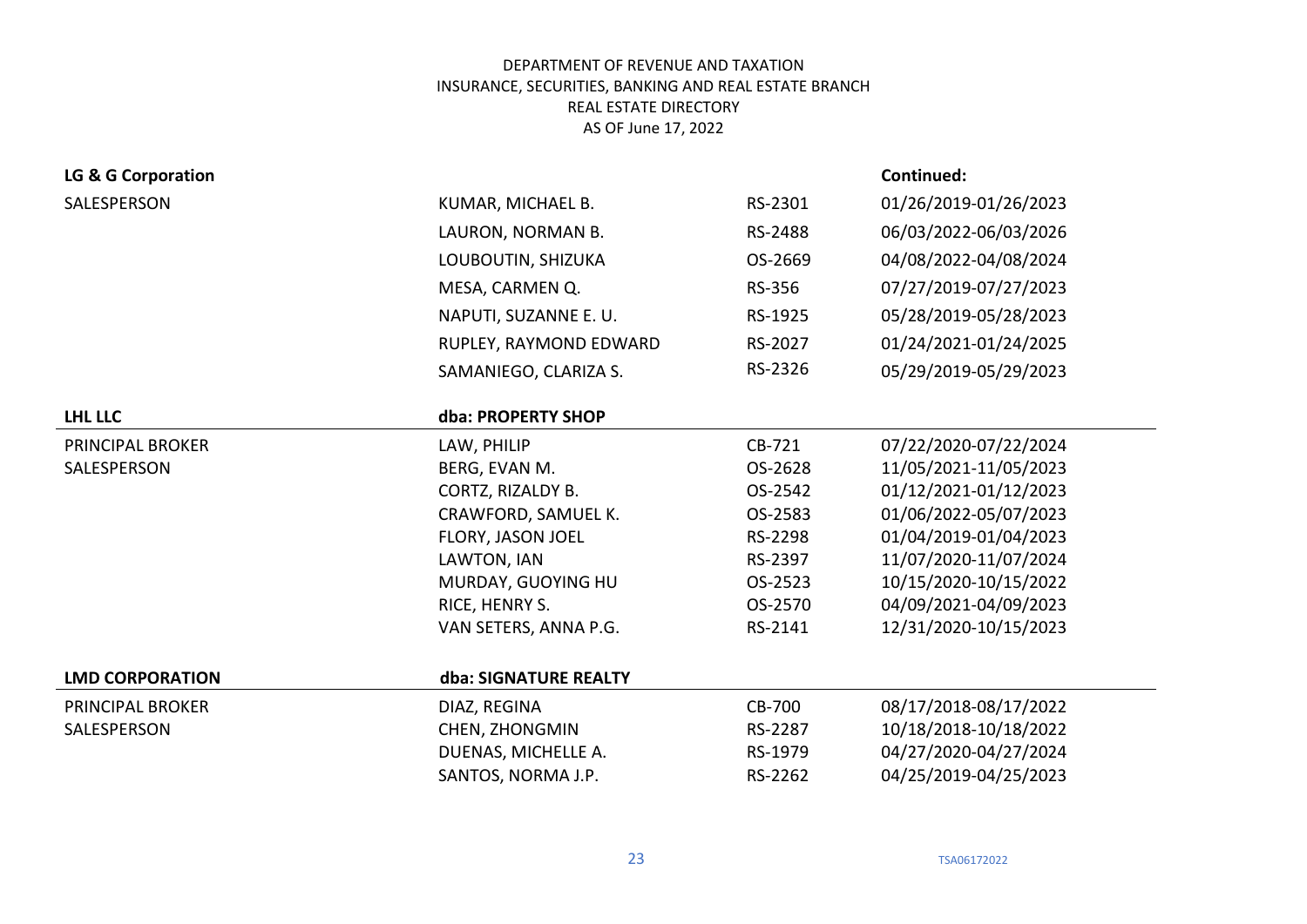| LG & G Corporation      |                        |               | Continued:            |
|-------------------------|------------------------|---------------|-----------------------|
| SALESPERSON             | KUMAR, MICHAEL B.      | RS-2301       | 01/26/2019-01/26/2023 |
|                         | LAURON, NORMAN B.      | RS-2488       | 06/03/2022-06/03/2026 |
|                         | LOUBOUTIN, SHIZUKA     | OS-2669       | 04/08/2022-04/08/2024 |
|                         | MESA, CARMEN Q.        | RS-356        | 07/27/2019-07/27/2023 |
|                         | NAPUTI, SUZANNE E. U.  | RS-1925       | 05/28/2019-05/28/2023 |
|                         | RUPLEY, RAYMOND EDWARD | RS-2027       | 01/24/2021-01/24/2025 |
|                         | SAMANIEGO, CLARIZA S.  | RS-2326       | 05/29/2019-05/29/2023 |
| <b>LHL LLC</b>          | dba: PROPERTY SHOP     |               |                       |
| PRINCIPAL BROKER        | LAW, PHILIP            | CB-721        | 07/22/2020-07/22/2024 |
| SALESPERSON             | BERG, EVAN M.          | OS-2628       | 11/05/2021-11/05/2023 |
|                         | CORTZ, RIZALDY B.      | OS-2542       | 01/12/2021-01/12/2023 |
|                         | CRAWFORD, SAMUEL K.    | OS-2583       | 01/06/2022-05/07/2023 |
|                         | FLORY, JASON JOEL      | RS-2298       | 01/04/2019-01/04/2023 |
|                         | LAWTON, IAN            | RS-2397       | 11/07/2020-11/07/2024 |
|                         | MURDAY, GUOYING HU     | OS-2523       | 10/15/2020-10/15/2022 |
|                         | RICE, HENRY S.         | OS-2570       | 04/09/2021-04/09/2023 |
|                         | VAN SETERS, ANNA P.G.  | RS-2141       | 12/31/2020-10/15/2023 |
| <b>LMD CORPORATION</b>  | dba: SIGNATURE REALTY  |               |                       |
| <b>PRINCIPAL BROKER</b> | DIAZ, REGINA           | <b>CB-700</b> | 08/17/2018-08/17/2022 |
| SALESPERSON             | CHEN, ZHONGMIN         | RS-2287       | 10/18/2018-10/18/2022 |
|                         | DUENAS, MICHELLE A.    | RS-1979       | 04/27/2020-04/27/2024 |
|                         | SANTOS, NORMA J.P.     | RS-2262       | 04/25/2019-04/25/2023 |
|                         |                        |               |                       |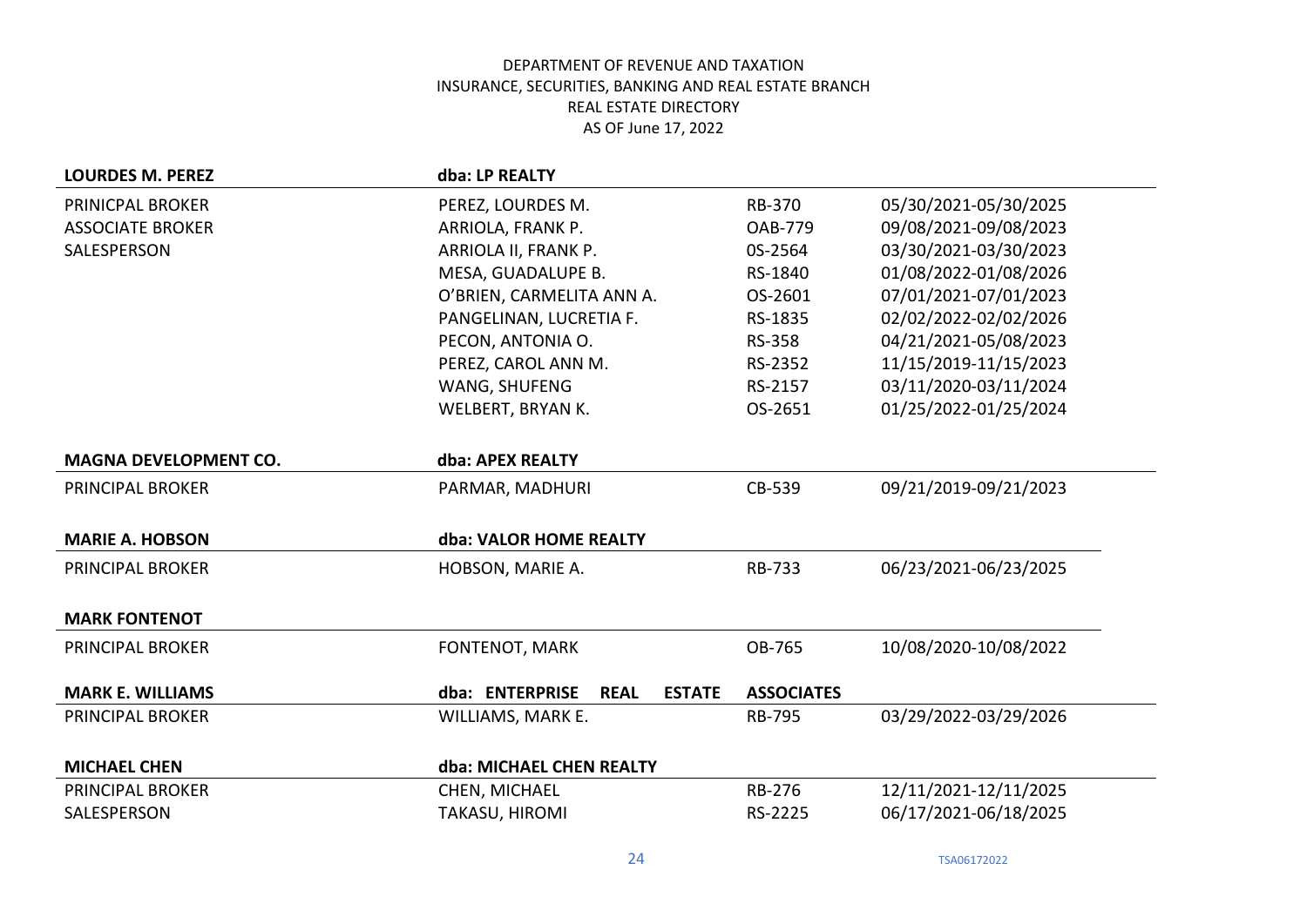| <b>LOURDES M. PEREZ</b>      | dba: LP REALTY                                  |                   |                       |
|------------------------------|-------------------------------------------------|-------------------|-----------------------|
| PRINICPAL BROKER             | PEREZ, LOURDES M.                               | <b>RB-370</b>     | 05/30/2021-05/30/2025 |
| <b>ASSOCIATE BROKER</b>      | ARRIOLA, FRANK P.                               | <b>OAB-779</b>    | 09/08/2021-09/08/2023 |
| SALESPERSON                  | ARRIOLA II, FRANK P.                            | 0S-2564           | 03/30/2021-03/30/2023 |
|                              | MESA, GUADALUPE B.                              | RS-1840           | 01/08/2022-01/08/2026 |
|                              | O'BRIEN, CARMELITA ANN A.                       | OS-2601           | 07/01/2021-07/01/2023 |
|                              | PANGELINAN, LUCRETIA F.                         | RS-1835           | 02/02/2022-02/02/2026 |
|                              | PECON, ANTONIA O.                               | <b>RS-358</b>     | 04/21/2021-05/08/2023 |
|                              | PEREZ, CAROL ANN M.                             | RS-2352           | 11/15/2019-11/15/2023 |
|                              | WANG, SHUFENG                                   | RS-2157           | 03/11/2020-03/11/2024 |
|                              | WELBERT, BRYAN K.                               | OS-2651           | 01/25/2022-01/25/2024 |
|                              |                                                 |                   |                       |
| <b>MAGNA DEVELOPMENT CO.</b> | dba: APEX REALTY                                |                   |                       |
| <b>PRINCIPAL BROKER</b>      | PARMAR, MADHURI                                 | CB-539            | 09/21/2019-09/21/2023 |
|                              |                                                 |                   |                       |
| <b>MARIE A. HOBSON</b>       | dba: VALOR HOME REALTY                          |                   |                       |
| <b>PRINCIPAL BROKER</b>      | HOBSON, MARIE A.                                | RB-733            | 06/23/2021-06/23/2025 |
|                              |                                                 |                   |                       |
| <b>MARK FONTENOT</b>         |                                                 |                   |                       |
| <b>PRINCIPAL BROKER</b>      | FONTENOT, MARK                                  | OB-765            | 10/08/2020-10/08/2022 |
| <b>MARK E. WILLIAMS</b>      | dba: ENTERPRISE<br><b>REAL</b><br><b>ESTATE</b> | <b>ASSOCIATES</b> |                       |
| <b>PRINCIPAL BROKER</b>      | WILLIAMS, MARK E.                               | <b>RB-795</b>     | 03/29/2022-03/29/2026 |
|                              |                                                 |                   |                       |
| <b>MICHAEL CHEN</b>          | dba: MICHAEL CHEN REALTY                        |                   |                       |
| <b>PRINCIPAL BROKER</b>      | CHEN, MICHAEL                                   | <b>RB-276</b>     | 12/11/2021-12/11/2025 |
| SALESPERSON                  | TAKASU, HIROMI                                  | RS-2225           | 06/17/2021-06/18/2025 |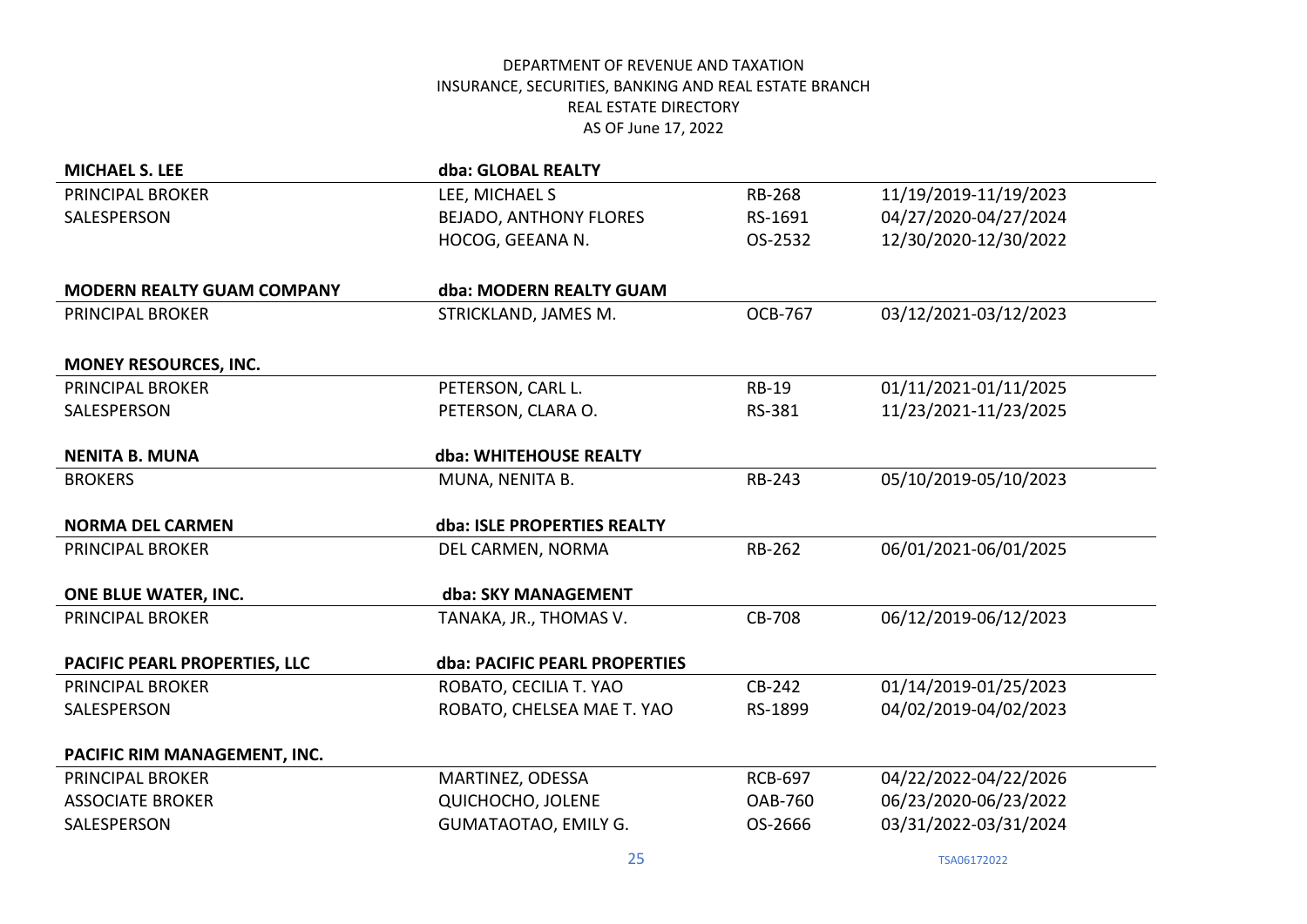| <b>MICHAEL S. LEE</b>             | dba: GLOBAL REALTY            |                |                       |
|-----------------------------------|-------------------------------|----------------|-----------------------|
| <b>PRINCIPAL BROKER</b>           | LEE, MICHAEL S                | <b>RB-268</b>  | 11/19/2019-11/19/2023 |
| SALESPERSON                       | <b>BEJADO, ANTHONY FLORES</b> | RS-1691        | 04/27/2020-04/27/2024 |
|                                   | HOCOG, GEEANA N.              | OS-2532        | 12/30/2020-12/30/2022 |
|                                   |                               |                |                       |
| <b>MODERN REALTY GUAM COMPANY</b> | dba: MODERN REALTY GUAM       |                |                       |
| <b>PRINCIPAL BROKER</b>           | STRICKLAND, JAMES M.          | <b>OCB-767</b> | 03/12/2021-03/12/2023 |
| <b>MONEY RESOURCES, INC.</b>      |                               |                |                       |
| <b>PRINCIPAL BROKER</b>           | PETERSON, CARL L.             | <b>RB-19</b>   | 01/11/2021-01/11/2025 |
| SALESPERSON                       | PETERSON, CLARA O.            | RS-381         | 11/23/2021-11/23/2025 |
|                                   |                               |                |                       |
| <b>NENITA B. MUNA</b>             | dba: WHITEHOUSE REALTY        |                |                       |
| <b>BROKERS</b>                    | MUNA, NENITA B.               | RB-243         | 05/10/2019-05/10/2023 |
| <b>NORMA DEL CARMEN</b>           | dba: ISLE PROPERTIES REALTY   |                |                       |
| <b>PRINCIPAL BROKER</b>           | DEL CARMEN, NORMA             | RB-262         | 06/01/2021-06/01/2025 |
| ONE BLUE WATER, INC.              | dba: SKY MANAGEMENT           |                |                       |
| <b>PRINCIPAL BROKER</b>           | TANAKA, JR., THOMAS V.        | CB-708         | 06/12/2019-06/12/2023 |
| PACIFIC PEARL PROPERTIES, LLC     | dba: PACIFIC PEARL PROPERTIES |                |                       |
| <b>PRINCIPAL BROKER</b>           | ROBATO, CECILIA T. YAO        | CB-242         | 01/14/2019-01/25/2023 |
| SALESPERSON                       | ROBATO, CHELSEA MAE T. YAO    | RS-1899        | 04/02/2019-04/02/2023 |
| PACIFIC RIM MANAGEMENT, INC.      |                               |                |                       |
| <b>PRINCIPAL BROKER</b>           | MARTINEZ, ODESSA              | <b>RCB-697</b> | 04/22/2022-04/22/2026 |
| <b>ASSOCIATE BROKER</b>           | QUICHOCHO, JOLENE             | <b>OAB-760</b> | 06/23/2020-06/23/2022 |
| SALESPERSON                       | <b>GUMATAOTAO, EMILY G.</b>   | OS-2666        | 03/31/2022-03/31/2024 |
|                                   |                               |                |                       |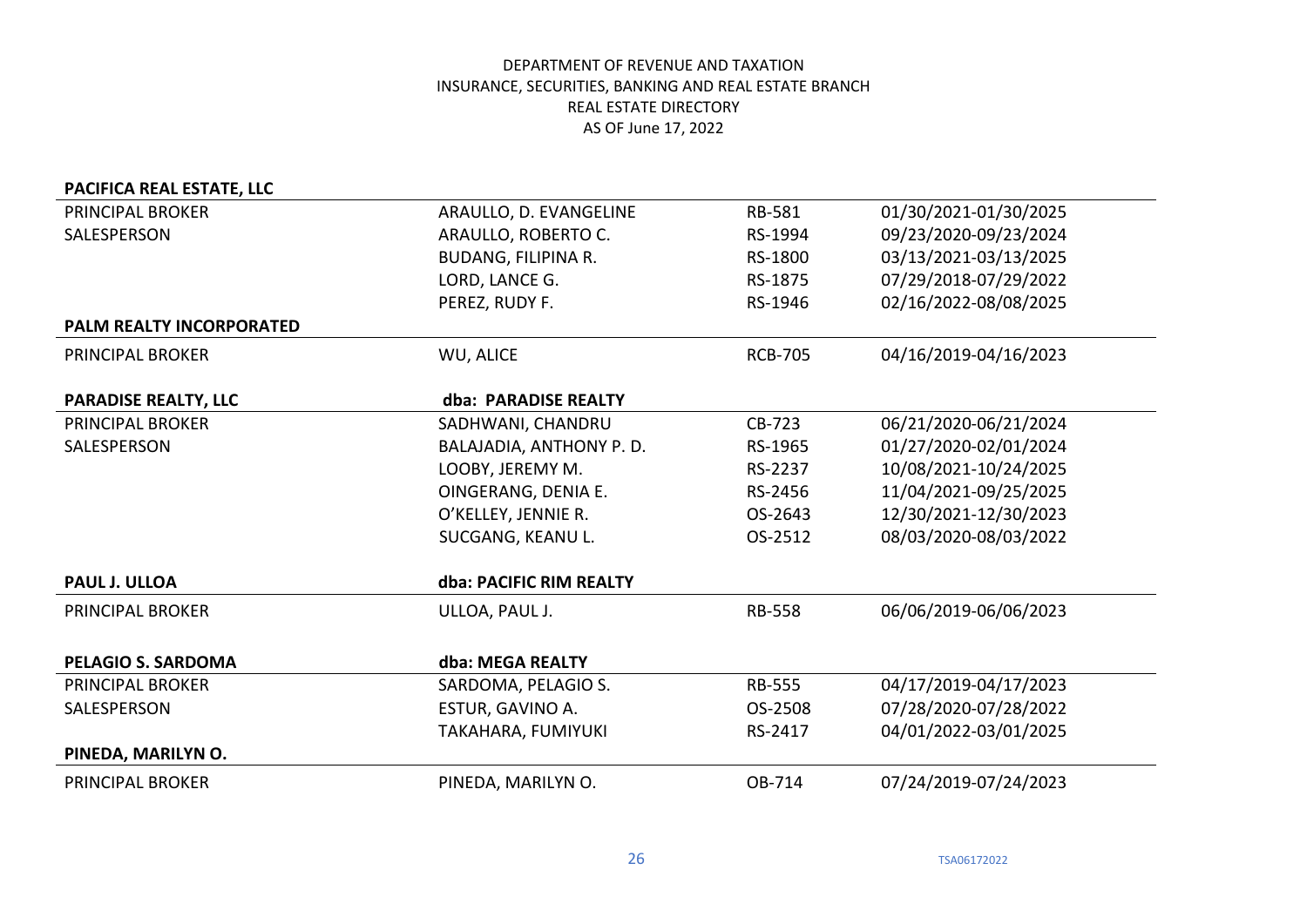| PACIFICA REAL ESTATE, LLC   |                            |                |                       |
|-----------------------------|----------------------------|----------------|-----------------------|
| PRINCIPAL BROKER            | ARAULLO, D. EVANGELINE     | RB-581         | 01/30/2021-01/30/2025 |
| SALESPERSON                 | ARAULLO, ROBERTO C.        | RS-1994        | 09/23/2020-09/23/2024 |
|                             | <b>BUDANG, FILIPINA R.</b> | RS-1800        | 03/13/2021-03/13/2025 |
|                             | LORD, LANCE G.             | RS-1875        | 07/29/2018-07/29/2022 |
|                             | PEREZ, RUDY F.             | RS-1946        | 02/16/2022-08/08/2025 |
| PALM REALTY INCORPORATED    |                            |                |                       |
| PRINCIPAL BROKER            | WU, ALICE                  | <b>RCB-705</b> | 04/16/2019-04/16/2023 |
|                             |                            |                |                       |
| <b>PARADISE REALTY, LLC</b> | dba: PARADISE REALTY       |                |                       |
| <b>PRINCIPAL BROKER</b>     | SADHWANI, CHANDRU          | CB-723         | 06/21/2020-06/21/2024 |
| SALESPERSON                 | BALAJADIA, ANTHONY P. D.   | RS-1965        | 01/27/2020-02/01/2024 |
|                             | LOOBY, JEREMY M.           | RS-2237        | 10/08/2021-10/24/2025 |
|                             | OINGERANG, DENIA E.        | RS-2456        | 11/04/2021-09/25/2025 |
|                             | O'KELLEY, JENNIE R.        | OS-2643        | 12/30/2021-12/30/2023 |
|                             | SUCGANG, KEANU L.          | OS-2512        | 08/03/2020-08/03/2022 |
| <b>PAUL J. ULLOA</b>        | dba: PACIFIC RIM REALTY    |                |                       |
| <b>PRINCIPAL BROKER</b>     | ULLOA, PAUL J.             | <b>RB-558</b>  | 06/06/2019-06/06/2023 |
|                             |                            |                |                       |
| <b>PELAGIO S. SARDOMA</b>   | dba: MEGA REALTY           |                |                       |
| <b>PRINCIPAL BROKER</b>     | SARDOMA, PELAGIO S.        | <b>RB-555</b>  | 04/17/2019-04/17/2023 |
| SALESPERSON                 | ESTUR, GAVINO A.           | OS-2508        | 07/28/2020-07/28/2022 |
|                             | TAKAHARA, FUMIYUKI         | RS-2417        | 04/01/2022-03/01/2025 |
| PINEDA, MARILYN O.          |                            |                |                       |
| <b>PRINCIPAL BROKER</b>     | PINEDA, MARILYN O.         | OB-714         | 07/24/2019-07/24/2023 |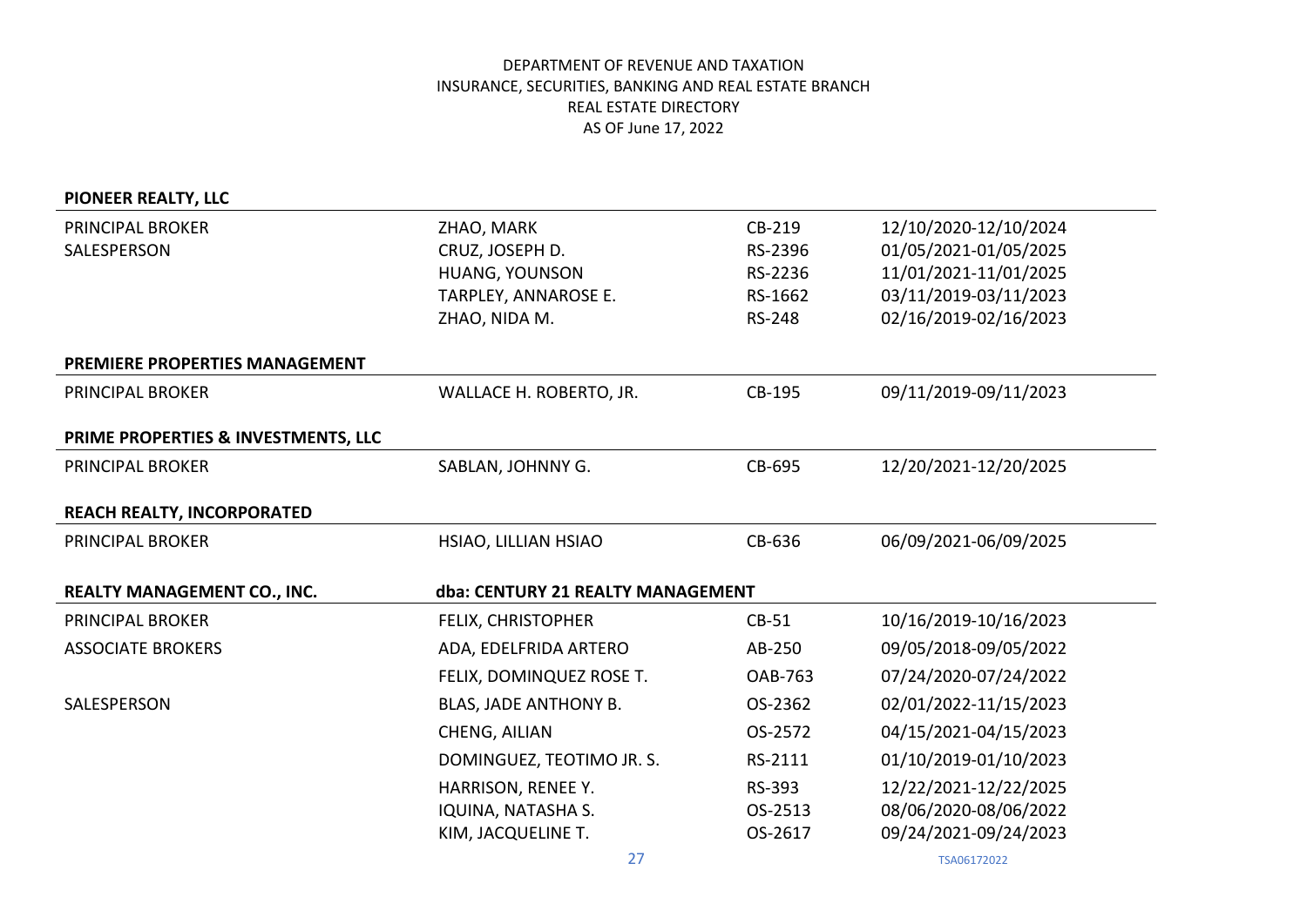# **PIONEER REALTY, LLC**

| PRINCIPAL BROKER<br>SALESPERSON     | ZHAO, MARK<br>CRUZ, JOSEPH D.<br>HUANG, YOUNSON<br>TARPLEY, ANNAROSE E.<br>ZHAO, NIDA M. | CB-219<br>RS-2396<br>RS-2236<br>RS-1662<br><b>RS-248</b> | 12/10/2020-12/10/2024<br>01/05/2021-01/05/2025<br>11/01/2021-11/01/2025<br>03/11/2019-03/11/2023<br>02/16/2019-02/16/2023 |
|-------------------------------------|------------------------------------------------------------------------------------------|----------------------------------------------------------|---------------------------------------------------------------------------------------------------------------------------|
| PREMIERE PROPERTIES MANAGEMENT      |                                                                                          |                                                          |                                                                                                                           |
| <b>PRINCIPAL BROKER</b>             | WALLACE H. ROBERTO, JR.                                                                  | CB-195                                                   | 09/11/2019-09/11/2023                                                                                                     |
| PRIME PROPERTIES & INVESTMENTS, LLC |                                                                                          |                                                          |                                                                                                                           |
| <b>PRINCIPAL BROKER</b>             | SABLAN, JOHNNY G.                                                                        | CB-695                                                   | 12/20/2021-12/20/2025                                                                                                     |
| REACH REALTY, INCORPORATED          |                                                                                          |                                                          |                                                                                                                           |
| PRINCIPAL BROKER                    | HSIAO, LILLIAN HSIAO                                                                     | CB-636                                                   | 06/09/2021-06/09/2025                                                                                                     |
| <b>REALTY MANAGEMENT CO., INC.</b>  | dba: CENTURY 21 REALTY MANAGEMENT                                                        |                                                          |                                                                                                                           |
| <b>PRINCIPAL BROKER</b>             | <b>FELIX, CHRISTOPHER</b>                                                                | $CB-51$                                                  | 10/16/2019-10/16/2023                                                                                                     |
| <b>ASSOCIATE BROKERS</b>            | ADA, EDELFRIDA ARTERO                                                                    | AB-250                                                   | 09/05/2018-09/05/2022                                                                                                     |
|                                     | FELIX, DOMINQUEZ ROSE T.                                                                 | <b>OAB-763</b>                                           | 07/24/2020-07/24/2022                                                                                                     |
| SALESPERSON                         | BLAS, JADE ANTHONY B.                                                                    | OS-2362                                                  | 02/01/2022-11/15/2023                                                                                                     |
|                                     | CHENG, AILIAN                                                                            | OS-2572                                                  | 04/15/2021-04/15/2023                                                                                                     |
|                                     | DOMINGUEZ, TEOTIMO JR. S.                                                                | RS-2111                                                  | 01/10/2019-01/10/2023                                                                                                     |
|                                     | HARRISON, RENEE Y.                                                                       | RS-393                                                   | 12/22/2021-12/22/2025                                                                                                     |
|                                     | IQUINA, NATASHA S.                                                                       | OS-2513                                                  | 08/06/2020-08/06/2022                                                                                                     |
|                                     | KIM, JACQUELINE T.                                                                       | OS-2617                                                  | 09/24/2021-09/24/2023                                                                                                     |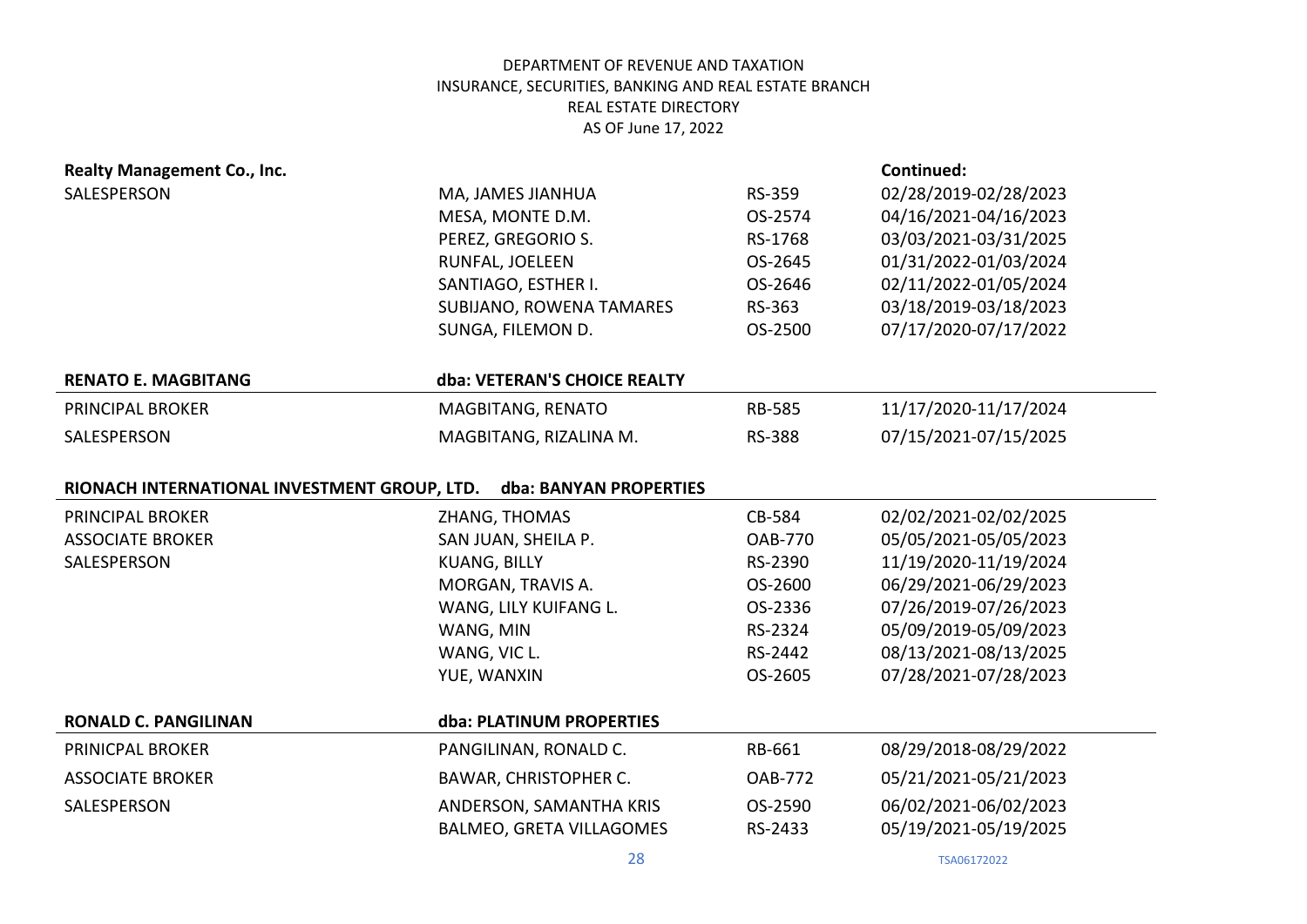| Realty Management Co., Inc.                  |                              |                | Continued:            |
|----------------------------------------------|------------------------------|----------------|-----------------------|
| SALESPERSON                                  | MA, JAMES JIANHUA            | RS-359         | 02/28/2019-02/28/2023 |
|                                              | MESA, MONTE D.M.             | OS-2574        | 04/16/2021-04/16/2023 |
|                                              | PEREZ, GREGORIO S.           | RS-1768        | 03/03/2021-03/31/2025 |
|                                              | RUNFAL, JOELEEN              | OS-2645        | 01/31/2022-01/03/2024 |
|                                              | SANTIAGO, ESTHER I.          | OS-2646        | 02/11/2022-01/05/2024 |
|                                              | SUBIJANO, ROWENA TAMARES     | RS-363         | 03/18/2019-03/18/2023 |
|                                              | SUNGA, FILEMON D.            | OS-2500        | 07/17/2020-07/17/2022 |
| <b>RENATO E. MAGBITANG</b>                   | dba: VETERAN'S CHOICE REALTY |                |                       |
| <b>PRINCIPAL BROKER</b>                      | MAGBITANG, RENATO            | <b>RB-585</b>  | 11/17/2020-11/17/2024 |
| SALESPERSON                                  | MAGBITANG, RIZALINA M.       | <b>RS-388</b>  | 07/15/2021-07/15/2025 |
| RIONACH INTERNATIONAL INVESTMENT GROUP, LTD. | dba: BANYAN PROPERTIES       |                |                       |
| <b>PRINCIPAL BROKER</b>                      | ZHANG, THOMAS                | CB-584         | 02/02/2021-02/02/2025 |
| <b>ASSOCIATE BROKER</b>                      |                              |                |                       |
|                                              | SAN JUAN, SHEILA P.          | <b>OAB-770</b> | 05/05/2021-05/05/2023 |
| SALESPERSON                                  | <b>KUANG, BILLY</b>          | RS-2390        | 11/19/2020-11/19/2024 |
|                                              | MORGAN, TRAVIS A.            | OS-2600        | 06/29/2021-06/29/2023 |
|                                              | WANG, LILY KUIFANG L.        | OS-2336        | 07/26/2019-07/26/2023 |
|                                              | WANG, MIN                    | RS-2324        | 05/09/2019-05/09/2023 |
|                                              | WANG, VIC L.                 | RS-2442        | 08/13/2021-08/13/2025 |
|                                              | YUE, WANXIN                  | OS-2605        | 07/28/2021-07/28/2023 |
| <b>RONALD C. PANGILINAN</b>                  | dba: PLATINUM PROPERTIES     |                |                       |
| PRINICPAL BROKER                             | PANGILINAN, RONALD C.        | RB-661         | 08/29/2018-08/29/2022 |
| <b>ASSOCIATE BROKER</b>                      | <b>BAWAR, CHRISTOPHER C.</b> | <b>OAB-772</b> | 05/21/2021-05/21/2023 |
| SALESPERSON                                  | ANDERSON, SAMANTHA KRIS      | OS-2590        | 06/02/2021-06/02/2023 |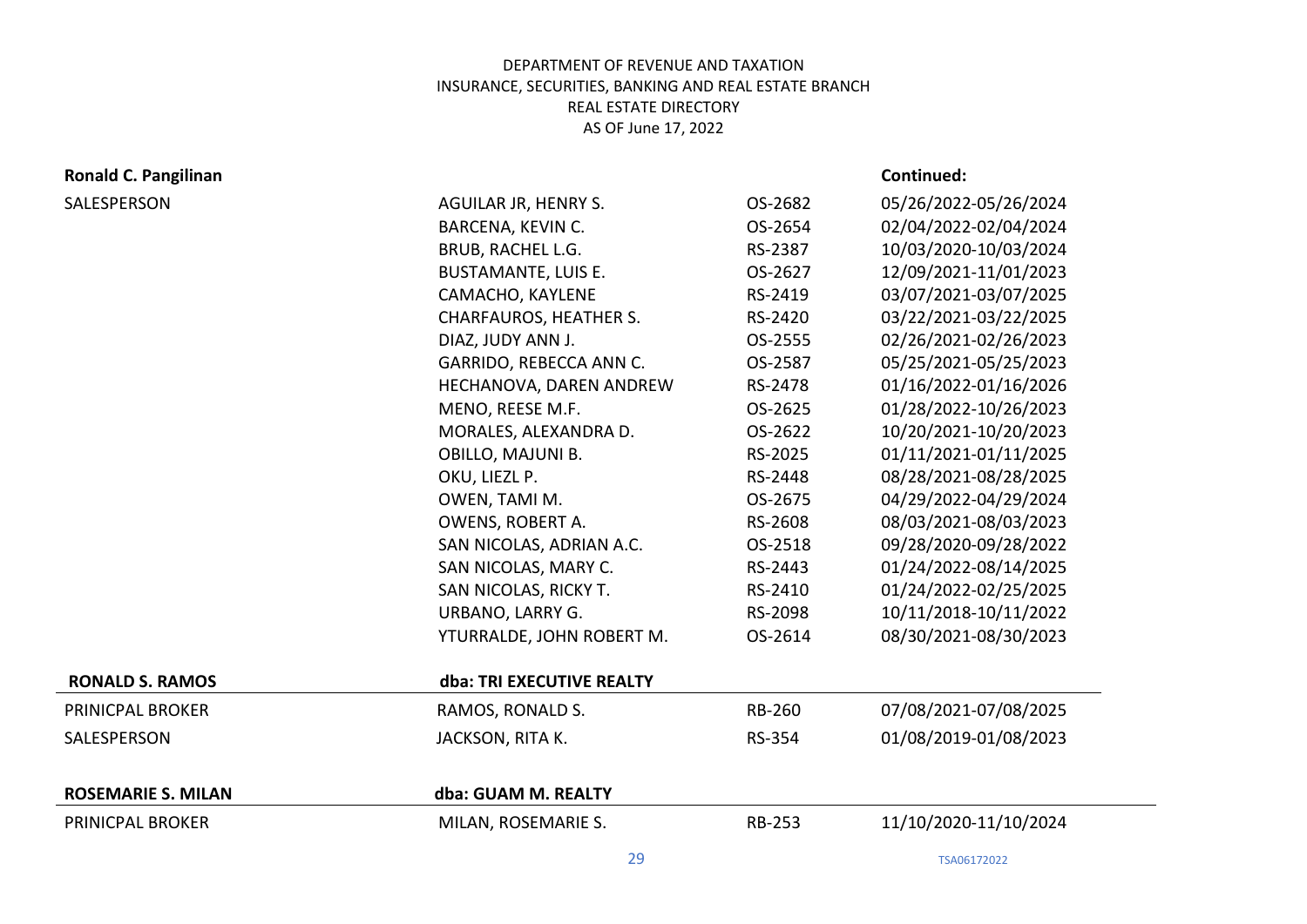# **Ronald C. Pangilinan Continued: Continued: Continued: Continued: Continued: Continued: Continued: Continued: Continued: Continued: Continued: Continued: Continued: Continued: Continued: Con**

| SALESPERSON               | AGUILAR JR, HENRY S.          | OS-2682       | 05/26/2022-05/26/2024 |
|---------------------------|-------------------------------|---------------|-----------------------|
|                           | BARCENA, KEVIN C.             | OS-2654       | 02/04/2022-02/04/2024 |
|                           | BRUB, RACHEL L.G.             | RS-2387       | 10/03/2020-10/03/2024 |
|                           | <b>BUSTAMANTE, LUIS E.</b>    | OS-2627       | 12/09/2021-11/01/2023 |
|                           | CAMACHO, KAYLENE              | RS-2419       | 03/07/2021-03/07/2025 |
|                           | <b>CHARFAUROS, HEATHER S.</b> | RS-2420       | 03/22/2021-03/22/2025 |
|                           | DIAZ, JUDY ANN J.             | OS-2555       | 02/26/2021-02/26/2023 |
|                           | GARRIDO, REBECCA ANN C.       | OS-2587       | 05/25/2021-05/25/2023 |
|                           | HECHANOVA, DAREN ANDREW       | RS-2478       | 01/16/2022-01/16/2026 |
|                           | MENO, REESE M.F.              | OS-2625       | 01/28/2022-10/26/2023 |
|                           | MORALES, ALEXANDRA D.         | OS-2622       | 10/20/2021-10/20/2023 |
|                           | OBILLO, MAJUNI B.             | RS-2025       | 01/11/2021-01/11/2025 |
|                           | OKU, LIEZL P.                 | RS-2448       | 08/28/2021-08/28/2025 |
|                           | OWEN, TAMI M.                 | OS-2675       | 04/29/2022-04/29/2024 |
|                           | OWENS, ROBERT A.              | RS-2608       | 08/03/2021-08/03/2023 |
|                           | SAN NICOLAS, ADRIAN A.C.      | OS-2518       | 09/28/2020-09/28/2022 |
|                           | SAN NICOLAS, MARY C.          | RS-2443       | 01/24/2022-08/14/2025 |
|                           | SAN NICOLAS, RICKY T.         | RS-2410       | 01/24/2022-02/25/2025 |
|                           | URBANO, LARRY G.              | RS-2098       | 10/11/2018-10/11/2022 |
|                           | YTURRALDE, JOHN ROBERT M.     | OS-2614       | 08/30/2021-08/30/2023 |
| <b>RONALD S. RAMOS</b>    | dba: TRI EXECUTIVE REALTY     |               |                       |
| PRINICPAL BROKER          | RAMOS, RONALD S.              | RB-260        | 07/08/2021-07/08/2025 |
| SALESPERSON               | JACKSON, RITA K.              | RS-354        | 01/08/2019-01/08/2023 |
| <b>ROSEMARIE S. MILAN</b> | dba: GUAM M. REALTY           |               |                       |
| PRINICPAL BROKER          | MILAN, ROSEMARIE S.           | <b>RB-253</b> | 11/10/2020-11/10/2024 |
|                           |                               |               |                       |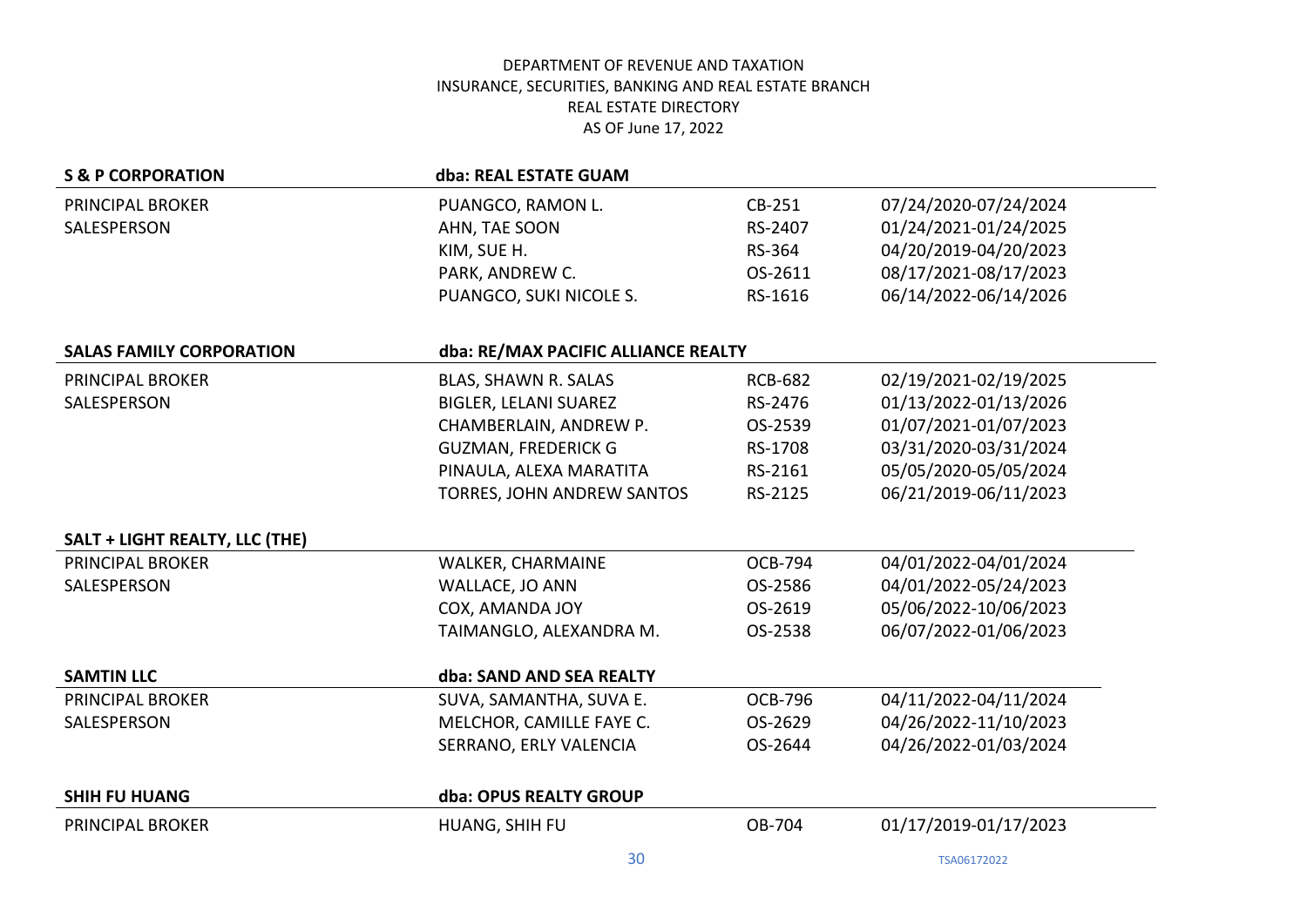| <b>S &amp; P CORPORATION</b>          | dba: REAL ESTATE GUAM               |                |                       |
|---------------------------------------|-------------------------------------|----------------|-----------------------|
| PRINCIPAL BROKER                      | PUANGCO, RAMON L.                   | CB-251         | 07/24/2020-07/24/2024 |
| SALESPERSON                           | AHN, TAE SOON                       | RS-2407        | 01/24/2021-01/24/2025 |
|                                       | KIM, SUE H.                         | RS-364         | 04/20/2019-04/20/2023 |
|                                       | PARK, ANDREW C.                     | OS-2611        | 08/17/2021-08/17/2023 |
|                                       | PUANGCO, SUKI NICOLE S.             | RS-1616        | 06/14/2022-06/14/2026 |
|                                       |                                     |                |                       |
| <b>SALAS FAMILY CORPORATION</b>       | dba: RE/MAX PACIFIC ALLIANCE REALTY |                |                       |
| PRINCIPAL BROKER                      | BLAS, SHAWN R. SALAS                | <b>RCB-682</b> | 02/19/2021-02/19/2025 |
| SALESPERSON                           | <b>BIGLER, LELANI SUAREZ</b>        | RS-2476        | 01/13/2022-01/13/2026 |
|                                       | CHAMBERLAIN, ANDREW P.              | OS-2539        | 01/07/2021-01/07/2023 |
|                                       | <b>GUZMAN, FREDERICK G</b>          | RS-1708        | 03/31/2020-03/31/2024 |
|                                       | PINAULA, ALEXA MARATITA             | RS-2161        | 05/05/2020-05/05/2024 |
|                                       | TORRES, JOHN ANDREW SANTOS          | RS-2125        | 06/21/2019-06/11/2023 |
| <b>SALT + LIGHT REALTY, LLC (THE)</b> |                                     |                |                       |
| <b>PRINCIPAL BROKER</b>               | WALKER, CHARMAINE                   | <b>OCB-794</b> | 04/01/2022-04/01/2024 |
| SALESPERSON                           | WALLACE, JO ANN                     | OS-2586        | 04/01/2022-05/24/2023 |
|                                       | COX, AMANDA JOY                     | OS-2619        | 05/06/2022-10/06/2023 |
|                                       | TAIMANGLO, ALEXANDRA M.             | OS-2538        | 06/07/2022-01/06/2023 |
| <b>SAMTIN LLC</b>                     | dba: SAND AND SEA REALTY            |                |                       |
| PRINCIPAL BROKER                      | SUVA, SAMANTHA, SUVA E.             | <b>OCB-796</b> | 04/11/2022-04/11/2024 |
| SALESPERSON                           | MELCHOR, CAMILLE FAYE C.            | OS-2629        | 04/26/2022-11/10/2023 |
|                                       | SERRANO, ERLY VALENCIA              | OS-2644        | 04/26/2022-01/03/2024 |
| <b>SHIH FU HUANG</b>                  | dba: OPUS REALTY GROUP              |                |                       |
| <b>PRINCIPAL BROKER</b>               | HUANG, SHIH FU                      | OB-704         | 01/17/2019-01/17/2023 |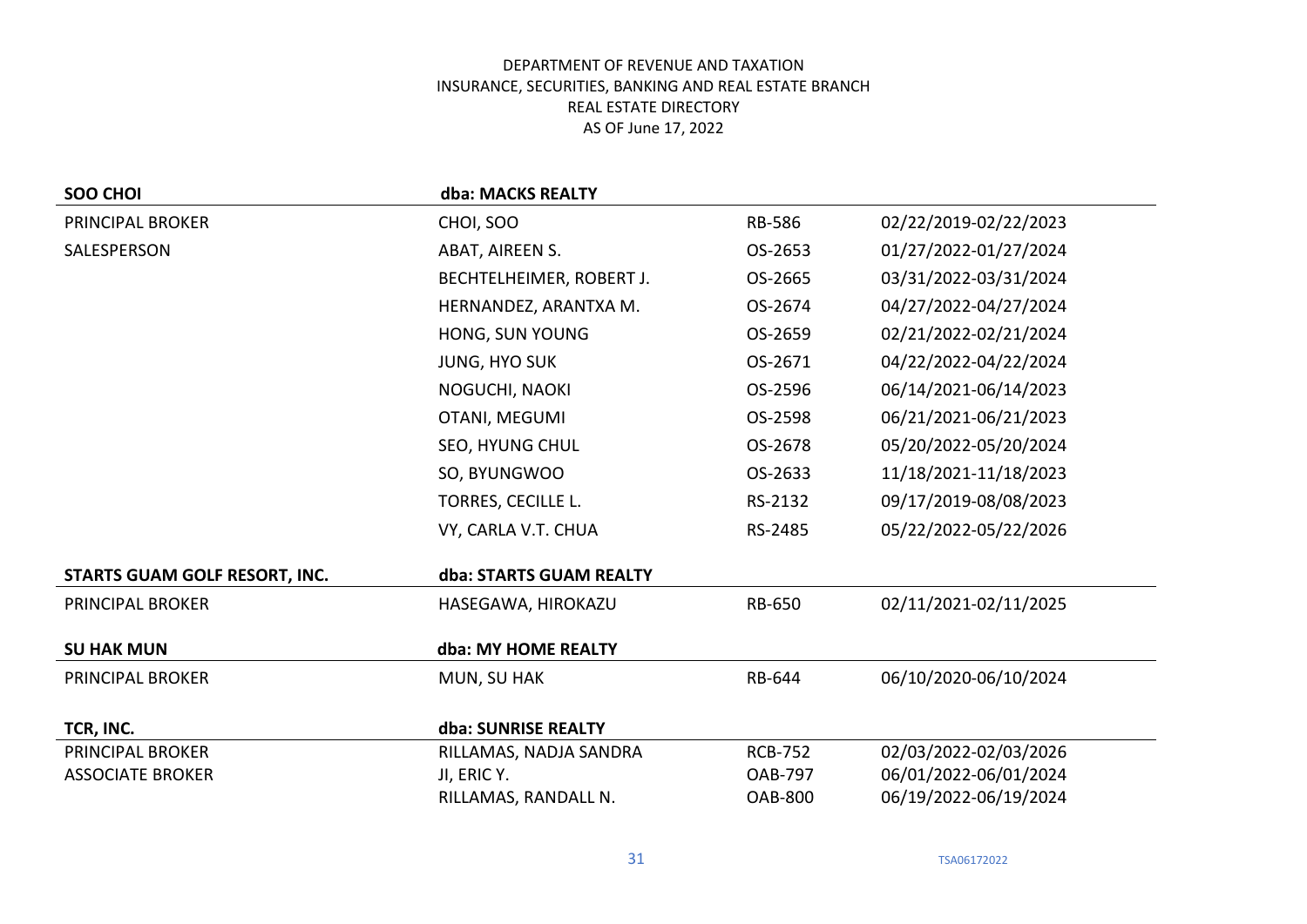| SOO CHOI                             | dba: MACKS REALTY        |                |                       |
|--------------------------------------|--------------------------|----------------|-----------------------|
| <b>PRINCIPAL BROKER</b>              | CHOI, SOO                | <b>RB-586</b>  | 02/22/2019-02/22/2023 |
| SALESPERSON                          | ABAT, AIREEN S.          | OS-2653        | 01/27/2022-01/27/2024 |
|                                      | BECHTELHEIMER, ROBERT J. | OS-2665        | 03/31/2022-03/31/2024 |
|                                      | HERNANDEZ, ARANTXA M.    | OS-2674        | 04/27/2022-04/27/2024 |
|                                      | HONG, SUN YOUNG          | OS-2659        | 02/21/2022-02/21/2024 |
|                                      | <b>JUNG, HYO SUK</b>     | OS-2671        | 04/22/2022-04/22/2024 |
|                                      | NOGUCHI, NAOKI           | OS-2596        | 06/14/2021-06/14/2023 |
|                                      | OTANI, MEGUMI            | OS-2598        | 06/21/2021-06/21/2023 |
|                                      | SEO, HYUNG CHUL          | OS-2678        | 05/20/2022-05/20/2024 |
|                                      | SO, BYUNGWOO             | OS-2633        | 11/18/2021-11/18/2023 |
|                                      | TORRES, CECILLE L.       | RS-2132        | 09/17/2019-08/08/2023 |
|                                      | VY, CARLA V.T. CHUA      | RS-2485        | 05/22/2022-05/22/2026 |
| <b>STARTS GUAM GOLF RESORT, INC.</b> | dba: STARTS GUAM REALTY  |                |                       |
| <b>PRINCIPAL BROKER</b>              | HASEGAWA, HIROKAZU       | <b>RB-650</b>  | 02/11/2021-02/11/2025 |
| <b>SU HAK MUN</b>                    | dba: MY HOME REALTY      |                |                       |
| PRINCIPAL BROKER                     | MUN, SU HAK              | RB-644         | 06/10/2020-06/10/2024 |
| TCR, INC.                            | dba: SUNRISE REALTY      |                |                       |
| <b>PRINCIPAL BROKER</b>              | RILLAMAS, NADJA SANDRA   | <b>RCB-752</b> | 02/03/2022-02/03/2026 |
| <b>ASSOCIATE BROKER</b>              | JI, ERIC Y.              | <b>OAB-797</b> | 06/01/2022-06/01/2024 |
|                                      | RILLAMAS, RANDALL N.     | <b>OAB-800</b> | 06/19/2022-06/19/2024 |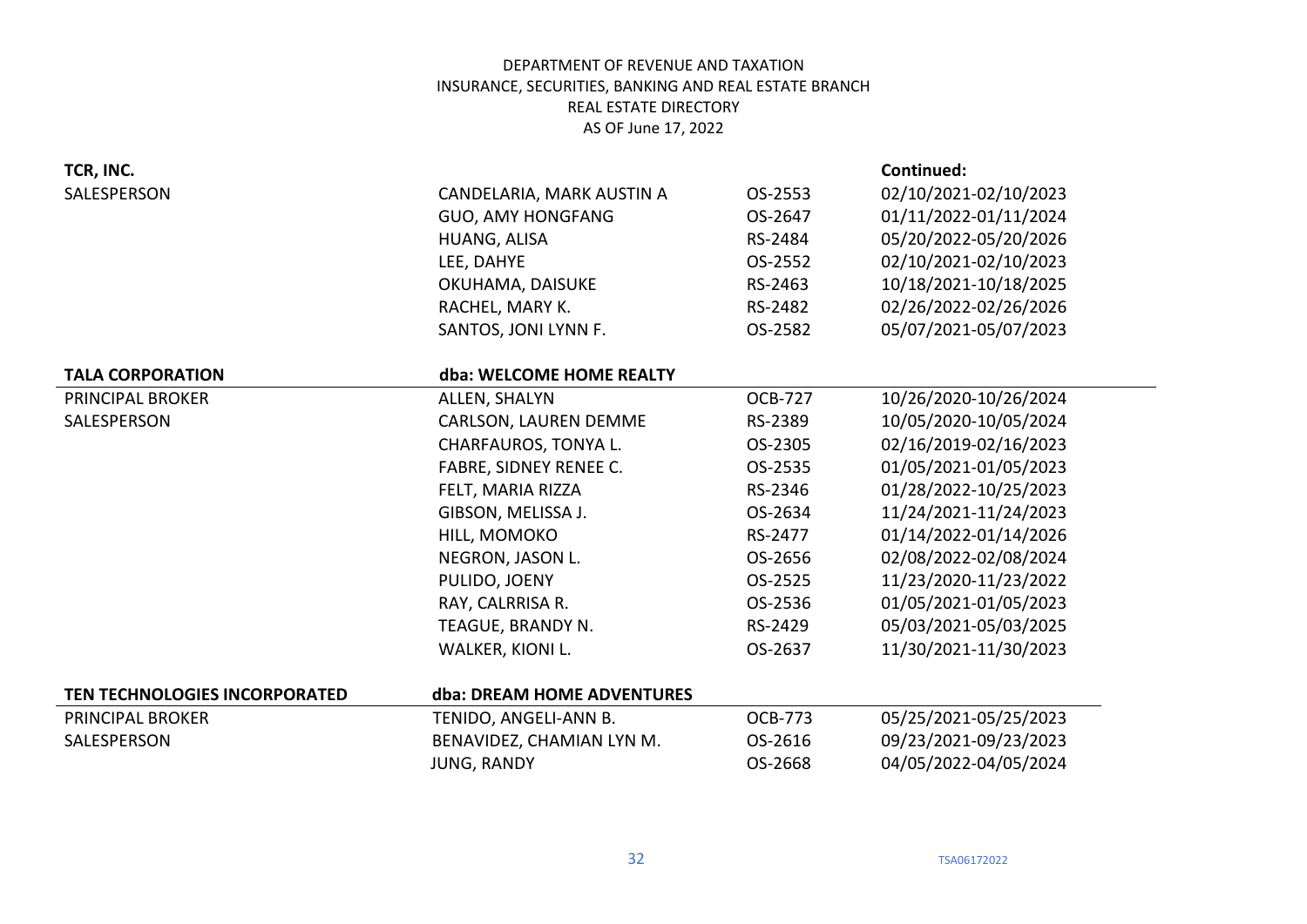| TCR, INC.                     |                            |                | Continued:            |
|-------------------------------|----------------------------|----------------|-----------------------|
| SALESPERSON                   | CANDELARIA, MARK AUSTIN A  | OS-2553        | 02/10/2021-02/10/2023 |
|                               | <b>GUO, AMY HONGFANG</b>   | OS-2647        | 01/11/2022-01/11/2024 |
|                               | HUANG, ALISA               | RS-2484        | 05/20/2022-05/20/2026 |
|                               | LEE, DAHYE                 | OS-2552        | 02/10/2021-02/10/2023 |
|                               | OKUHAMA, DAISUKE           | RS-2463        | 10/18/2021-10/18/2025 |
|                               | RACHEL, MARY K.            | RS-2482        | 02/26/2022-02/26/2026 |
|                               | SANTOS, JONI LYNN F.       | OS-2582        | 05/07/2021-05/07/2023 |
| <b>TALA CORPORATION</b>       | dba: WELCOME HOME REALTY   |                |                       |
| PRINCIPAL BROKER              | ALLEN, SHALYN              | <b>OCB-727</b> | 10/26/2020-10/26/2024 |
| SALESPERSON                   | CARLSON, LAUREN DEMME      | RS-2389        | 10/05/2020-10/05/2024 |
|                               | CHARFAUROS, TONYA L.       | OS-2305        | 02/16/2019-02/16/2023 |
|                               | FABRE, SIDNEY RENEE C.     | OS-2535        | 01/05/2021-01/05/2023 |
|                               | FELT, MARIA RIZZA          | RS-2346        | 01/28/2022-10/25/2023 |
|                               | GIBSON, MELISSA J.         | OS-2634        | 11/24/2021-11/24/2023 |
|                               | HILL, MOMOKO               | RS-2477        | 01/14/2022-01/14/2026 |
|                               | NEGRON, JASON L.           | OS-2656        | 02/08/2022-02/08/2024 |
|                               | PULIDO, JOENY              | OS-2525        | 11/23/2020-11/23/2022 |
|                               | RAY, CALRRISA R.           | OS-2536        | 01/05/2021-01/05/2023 |
|                               | TEAGUE, BRANDY N.          | RS-2429        | 05/03/2021-05/03/2025 |
|                               | WALKER, KIONI L.           | OS-2637        | 11/30/2021-11/30/2023 |
| TEN TECHNOLOGIES INCORPORATED | dba: DREAM HOME ADVENTURES |                |                       |
| <b>PRINCIPAL BROKER</b>       | TENIDO, ANGELI-ANN B.      | <b>OCB-773</b> | 05/25/2021-05/25/2023 |
| SALESPERSON                   | BENAVIDEZ, CHAMIAN LYN M.  | OS-2616        | 09/23/2021-09/23/2023 |
|                               | <b>JUNG, RANDY</b>         | OS-2668        | 04/05/2022-04/05/2024 |
|                               |                            |                |                       |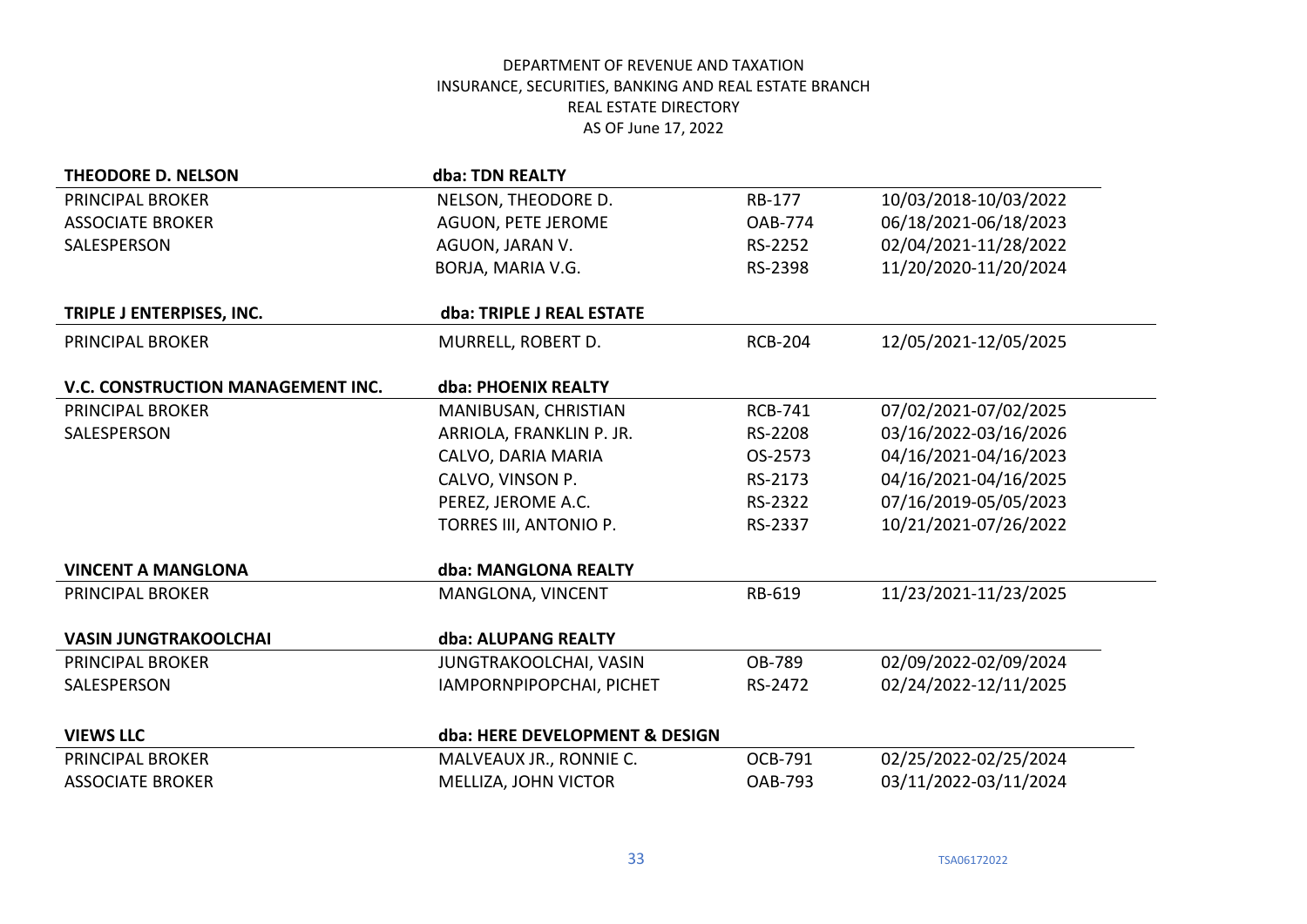| <b>THEODORE D. NELSON</b>         | dba: TDN REALTY                |                |                       |
|-----------------------------------|--------------------------------|----------------|-----------------------|
| PRINCIPAL BROKER                  | NELSON, THEODORE D.            | RB-177         | 10/03/2018-10/03/2022 |
| <b>ASSOCIATE BROKER</b>           | AGUON, PETE JEROME             | OAB-774        | 06/18/2021-06/18/2023 |
| SALESPERSON                       | AGUON, JARAN V.                | RS-2252        | 02/04/2021-11/28/2022 |
|                                   | BORJA, MARIA V.G.              | RS-2398        | 11/20/2020-11/20/2024 |
| TRIPLE J ENTERPISES, INC.         | dba: TRIPLE J REAL ESTATE      |                |                       |
| PRINCIPAL BROKER                  | MURRELL, ROBERT D.             | <b>RCB-204</b> | 12/05/2021-12/05/2025 |
| V.C. CONSTRUCTION MANAGEMENT INC. | dba: PHOENIX REALTY            |                |                       |
| <b>PRINCIPAL BROKER</b>           | MANIBUSAN, CHRISTIAN           | <b>RCB-741</b> | 07/02/2021-07/02/2025 |
| SALESPERSON                       | ARRIOLA, FRANKLIN P. JR.       | RS-2208        | 03/16/2022-03/16/2026 |
|                                   | CALVO, DARIA MARIA             | OS-2573        | 04/16/2021-04/16/2023 |
|                                   | CALVO, VINSON P.               | RS-2173        | 04/16/2021-04/16/2025 |
|                                   | PEREZ, JEROME A.C.             | RS-2322        | 07/16/2019-05/05/2023 |
|                                   | TORRES III, ANTONIO P.         | RS-2337        | 10/21/2021-07/26/2022 |
| <b>VINCENT A MANGLONA</b>         | dba: MANGLONA REALTY           |                |                       |
| PRINCIPAL BROKER                  | MANGLONA, VINCENT              | RB-619         | 11/23/2021-11/23/2025 |
| <b>VASIN JUNGTRAKOOLCHAI</b>      | dba: ALUPANG REALTY            |                |                       |
| PRINCIPAL BROKER                  | JUNGTRAKOOLCHAI, VASIN         | OB-789         | 02/09/2022-02/09/2024 |
| SALESPERSON                       | IAMPORNPIPOPCHAI, PICHET       | RS-2472        | 02/24/2022-12/11/2025 |
| <b>VIEWS LLC</b>                  | dba: HERE DEVELOPMENT & DESIGN |                |                       |
| PRINCIPAL BROKER                  | MALVEAUX JR., RONNIE C.        | OCB-791        | 02/25/2022-02/25/2024 |
| <b>ASSOCIATE BROKER</b>           | MELLIZA, JOHN VICTOR           | <b>OAB-793</b> | 03/11/2022-03/11/2024 |